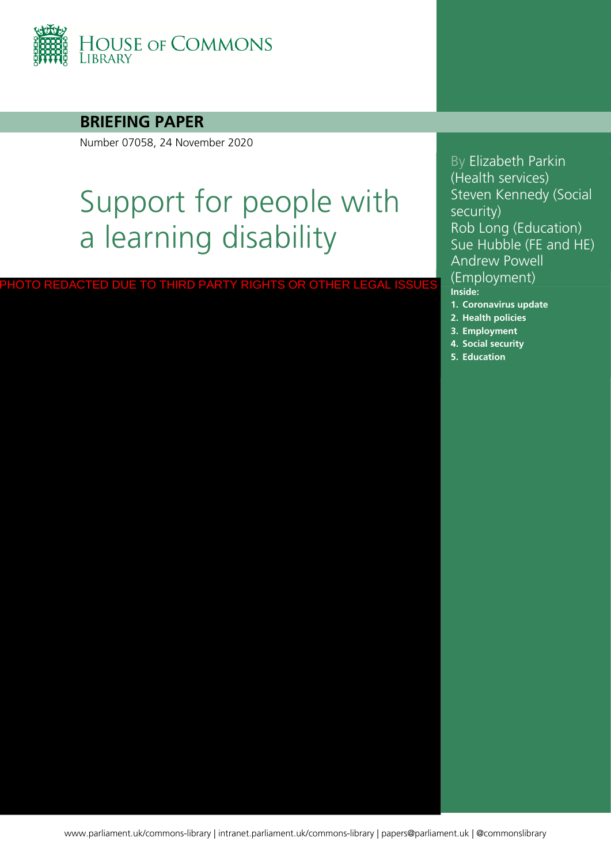

### **BRIEFING PAPER**

Number 07058, 24 November 2020

# Support for people with a learning disability

PHOTO REDACTED DUE TO THIRD PARTY RIGHTS OR OTHER LEGAL ISSUES

By Elizabeth Parkin (Health services) Steven Kennedy (Social security) Rob Long (Education) Sue Hubble (FE and HE) Andrew Powell (Employment) **Inside: 1. [Coronavirus update](#page-4-0)**

- **2. [Health policies](#page-10-0)**
- **3. [Employment](#page-21-0)**
- **4. [Social security](#page-26-0)**
- **5. [Education](#page-39-0)**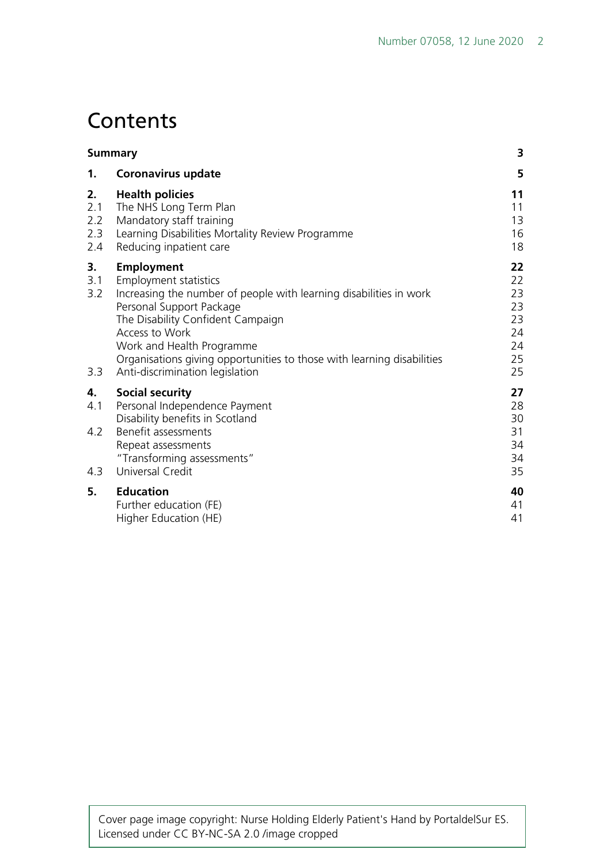# **Contents**

| <b>Summary</b>                 |                                                                                                                                                                                                                                                                                                                                               | 3                                                  |
|--------------------------------|-----------------------------------------------------------------------------------------------------------------------------------------------------------------------------------------------------------------------------------------------------------------------------------------------------------------------------------------------|----------------------------------------------------|
| 1.                             | <b>Coronavirus update</b>                                                                                                                                                                                                                                                                                                                     | 5                                                  |
| 2.<br>2.1<br>2.2<br>2.3<br>2.4 | <b>Health policies</b><br>The NHS Long Term Plan<br>Mandatory staff training<br>Learning Disabilities Mortality Review Programme<br>Reducing inpatient care                                                                                                                                                                                   | 11<br>11<br>13<br>16<br>18                         |
| 3.<br>3.1<br>3.2<br>3.3        | <b>Employment</b><br>Employment statistics<br>Increasing the number of people with learning disabilities in work<br>Personal Support Package<br>The Disability Confident Campaign<br>Access to Work<br>Work and Health Programme<br>Organisations giving opportunities to those with learning disabilities<br>Anti-discrimination legislation | 22<br>22<br>23<br>23<br>23<br>24<br>24<br>25<br>25 |
| 4.<br>4.1<br>4.2<br>4.3        | <b>Social security</b><br>Personal Independence Payment<br>Disability benefits in Scotland<br>Benefit assessments<br>Repeat assessments<br>"Transforming assessments"<br>Universal Credit                                                                                                                                                     | 27<br>28<br>30<br>31<br>34<br>34<br>35             |
| 5.                             | <b>Education</b><br>Further education (FE)<br>Higher Education (HE)                                                                                                                                                                                                                                                                           | 40<br>41<br>41                                     |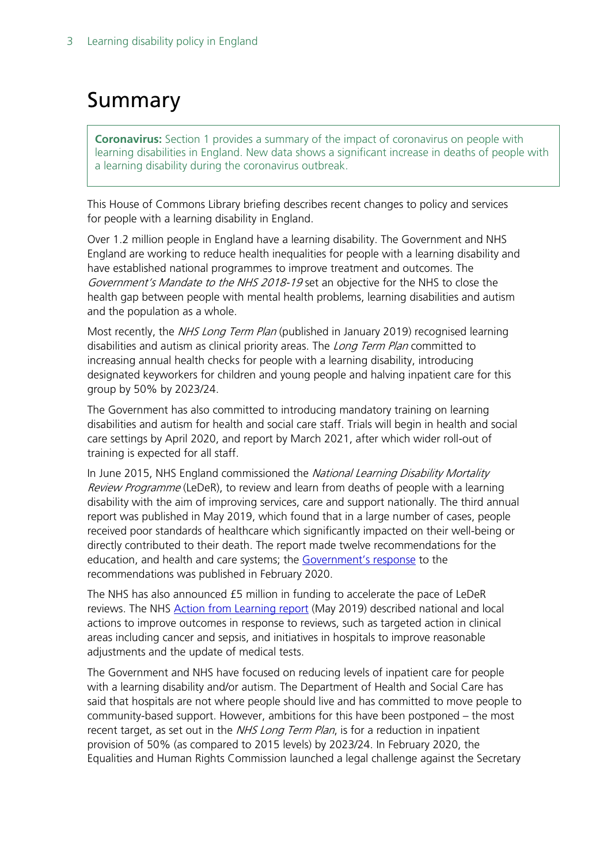# <span id="page-2-0"></span>Summary

**Coronavirus:** Section 1 provides a summary of the impact of coronavirus on people with learning disabilities in England. New data shows a significant increase in deaths of people with a learning disability during the coronavirus outbreak.

This House of Commons Library briefing describes recent changes to policy and services for people with a learning disability in England.

Over 1.2 million people in England have a learning disability. The Government and NHS England are working to reduce health inequalities for people with a learning disability and have established national programmes to improve treatment and outcomes. The Government's Mandate to the NHS 2018-19 set an objective for the NHS to close the health gap between people with mental health problems, learning disabilities and autism and the population as a whole.

Most recently, the *NHS Long Term Plan* (published in January 2019) recognised learning disabilities and autism as clinical priority areas. The *Long Term Plan* committed to increasing annual health checks for people with a learning disability, introducing designated keyworkers for children and young people and halving inpatient care for this group by 50% by 2023/24.

The Government has also committed to introducing mandatory training on learning disabilities and autism for health and social care staff. Trials will begin in health and social care settings by April 2020, and report by March 2021, after which wider roll-out of training is expected for all staff.

In June 2015, NHS England commissioned the National Learning Disability Mortality Review Programme (LeDeR), to review and learn from deaths of people with a learning disability with the aim of improving services, care and support nationally. The third annual report was published in May 2019, which found that in a large number of cases, people received poor standards of healthcare which significantly impacted on their well-being or directly contributed to their death. The report made twelve recommendations for the education, and health and care systems; the [Government's response](https://assets.publishing.service.gov.uk/government/uploads/system/uploads/attachment_data/file/865288/government-response-to-leder-third-annual-report.pdf?utm_source=R%26I+%28business+communications%29&utm_campaign=dae1cfa9a7-EMAIL_CAMPAIGN_2019_10_01_02_11_COPY_54&utm_medium=email&utm_term=0_4957411bec-dae1cfa9a7-102480241&mc_cid=dae1cfa9a7&mc_eid=1d218a5f9f) to the recommendations was published in February 2020.

The NHS has also announced £5 million in funding to accelerate the pace of LeDeR reviews. The NHS [Action from Learning report](https://www.england.nhs.uk/wp-content/uploads/2019/05/action-from-learning.pdf) (May 2019) described national and local actions to improve outcomes in response to reviews, such as targeted action in clinical areas including cancer and sepsis, and initiatives in hospitals to improve reasonable adjustments and the update of medical tests.

The Government and NHS have focused on reducing levels of inpatient care for people with a learning disability and/or autism. The Department of Health and Social Care has said that hospitals are not where people should live and has committed to move people to community-based support. However, ambitions for this have been postponed – the most recent target, as set out in the NHS Long Term Plan, is for a reduction in inpatient provision of 50% (as compared to 2015 levels) by 2023/24. In February 2020, the Equalities and Human Rights Commission launched a legal challenge against the Secretary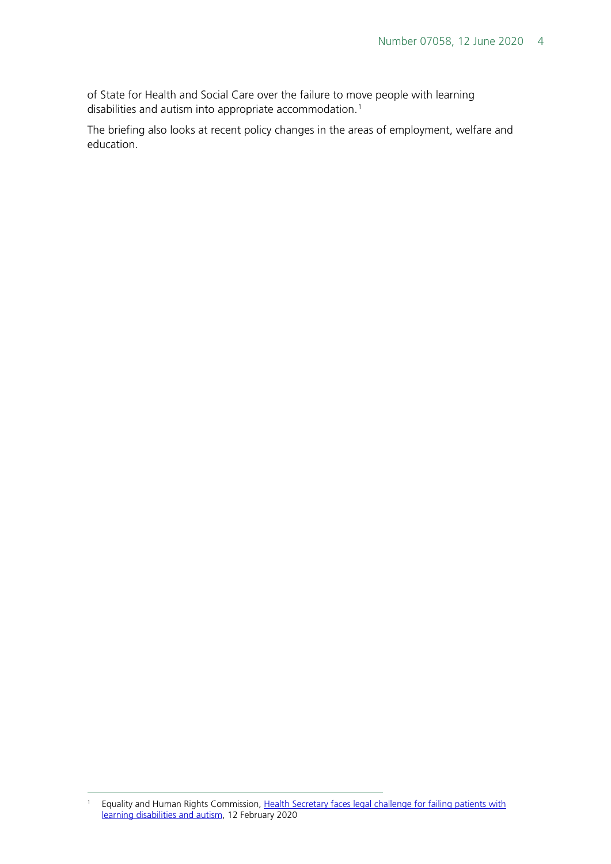of State for Health and Social Care over the failure to move people with learning disabilities and autism into appropriate accommodation. [1](#page-3-0)

The briefing also looks at recent policy changes in the areas of employment, welfare and education.

<span id="page-3-0"></span><sup>&</sup>lt;sup>1</sup> Equality and Human Rights Commission, Health Secretary faces legal challenge for failing patients with [learning disabilities and autism,](https://equalityhumanrights.com/en/our-work/news/health-secretary-faces-legal-challenge-failing-patients-learning-disabilities-and) 12 February 2020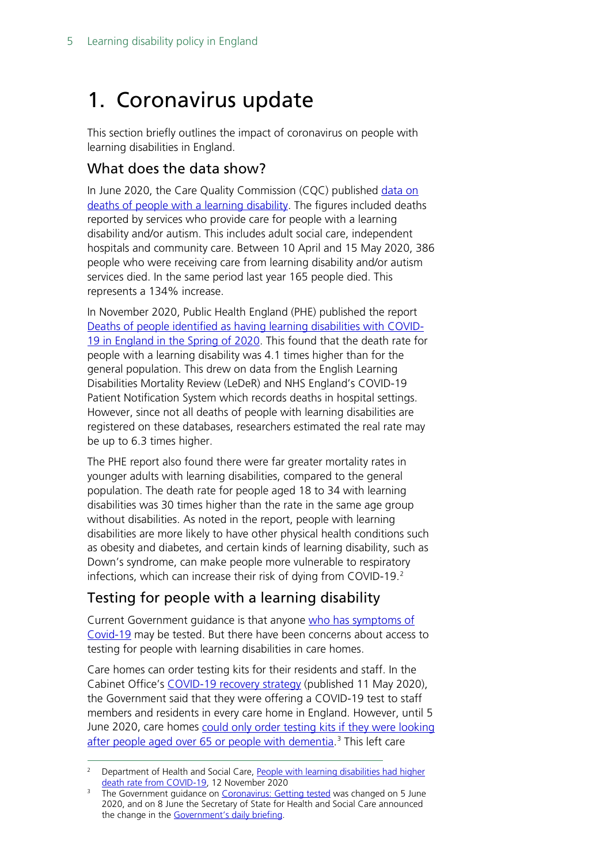# <span id="page-4-0"></span>1. Coronavirus update

This section briefly outlines the impact of coronavirus on people with learning disabilities in England.

## What does the data show?

In June 2020, the Care Quality Commission (CQC) published [data on](https://www.cqc.org.uk/news/stories/cqc-publishes-data-deaths-people-learning-disability)  [deaths of people with a learning disability.](https://www.cqc.org.uk/news/stories/cqc-publishes-data-deaths-people-learning-disability) The figures included deaths reported by services who provide care for people with a learning disability and/or autism. This includes adult social care, independent hospitals and community care. Between 10 April and 15 May 2020, 386 people who were receiving care from learning disability and/or autism services died. In the same period last year 165 people died. This represents a 134% increase.

In November 2020, Public Health England (PHE) published the report [Deaths of people identified as having learning disabilities with](https://www.gov.uk/government/news/people-with-learning-disabilities-had-higher-death-rate-from-covid-19?utm_source=The%20King%27s%20Fund%20newsletters%20%28main%20account%29&utm_medium=email&utm_campaign=11970553_NEWSL_HMP%202020-11-17&dm_i=21A8,74KJD,8N01D,SU5IH,1) COVID-[19 in England in the Spring of 2020.](https://www.gov.uk/government/news/people-with-learning-disabilities-had-higher-death-rate-from-covid-19?utm_source=The%20King%27s%20Fund%20newsletters%20%28main%20account%29&utm_medium=email&utm_campaign=11970553_NEWSL_HMP%202020-11-17&dm_i=21A8,74KJD,8N01D,SU5IH,1) This found that the death rate for people with a learning disability was 4.1 times higher than for the general population. This drew on data from the English Learning Disabilities Mortality Review (LeDeR) and NHS England's COVID-19 Patient Notification System which records deaths in hospital settings. However, since not all deaths of people with learning disabilities are registered on these databases, researchers estimated the real rate may be up to 6.3 times higher.

The PHE report also found there were far greater mortality rates in younger adults with learning disabilities, compared to the general population. The death rate for people aged 18 to 34 with learning disabilities was 30 times higher than the rate in the same age group without disabilities. As noted in the report, people with learning disabilities are more likely to have other physical health conditions such as obesity and diabetes, and certain kinds of learning disability, such as Down's syndrome, can make people more vulnerable to respiratory infections, which can increase their risk of dying from COVID-19.<sup>[2](#page-4-1)</sup>

## Testing for people with a learning disability

Current Government guidance is that anyone [who has symptoms of](https://www.gov.uk/guidance/coronavirus-covid-19-getting-tested)  [Covid-19](https://www.gov.uk/guidance/coronavirus-covid-19-getting-tested) may be tested. But there have been concerns about access to testing for people with learning disabilities in care homes.

Care homes can order testing kits for their residents and staff. In the Cabinet Office's [COVID-19 recovery strategy](https://www.gov.uk/government/publications/our-plan-to-rebuild-the-uk-governments-covid-19-recovery-strategy/our-plan-to-rebuild-the-uk-governments-covid-19-recovery-strategy) (published 11 May 2020), the Government said that they were offering a COVID-19 test to staff members and residents in every care home in England. However, until 5 June 2020, care homes could only order testing kits if they were looking [after people aged over 65 or people with dementia.](https://www.gov.uk/guidance/coronavirus-covid-19-getting-tested#history)<sup>[3](#page-4-2)</sup> This left care

<span id="page-4-1"></span><sup>&</sup>lt;sup>2</sup> Department of Health and Social Care, People with learning disabilities had higher [death rate from COVID-19,](https://www.gov.uk/government/news/people-with-learning-disabilities-had-higher-death-rate-from-covid-19?utm_source=The%20King%27s%20Fund%20newsletters%20%28main%20account%29&utm_medium=email&utm_campaign=11970553_NEWSL_HMP%202020-11-17&dm_i=21A8,74KJD,8N01D,SU5IH,1) 12 November 2020

<span id="page-4-2"></span><sup>&</sup>lt;sup>3</sup> The Government guidance on [Coronavirus: Getting tested](https://www.gov.uk/guidance/coronavirus-covid-19-getting-tested#history) was changed on 5 June 2020, and on 8 June the Secretary of State for Health and Social Care announced the change in the [Government's daily briefing.](https://www.gov.uk/government/speeches/health-and-social-care-secretarys-statement-on-coronavirus-covid-19-8-june-2020?utm_source=bd9d7616-3ff6-4f8a-983c-57f873284e4f&utm_medium=email&utm_campaign=govuk-notifications&utm_content=immediate)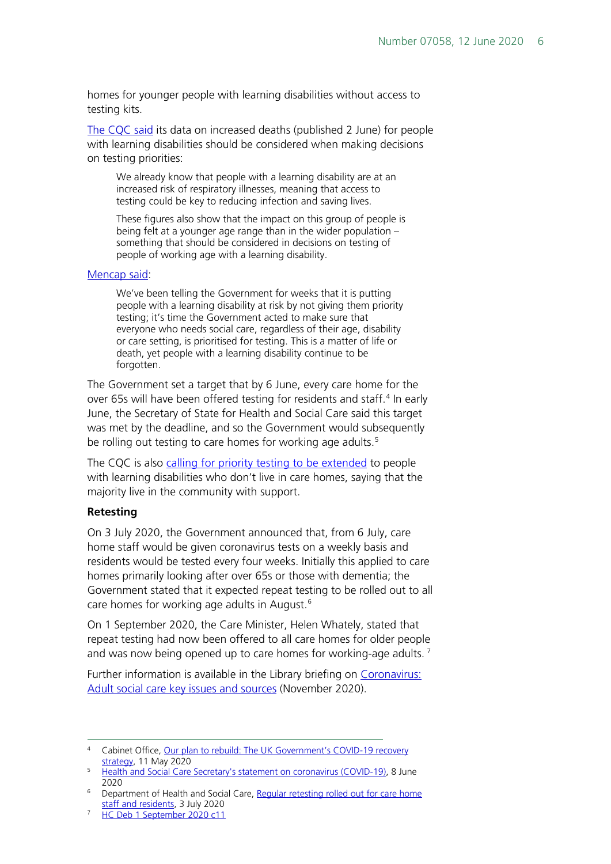homes for younger people with learning disabilities without access to testing kits.

[The CQC said](https://www.cqc.org.uk/news/stories/cqc-publishes-data-deaths-people-learning-disability) its data on increased deaths (published 2 June) for people with learning disabilities should be considered when making decisions on testing priorities:

We already know that people with a learning disability are at an increased risk of respiratory illnesses, meaning that access to testing could be key to reducing infection and saving lives.

These figures also show that the impact on this group of people is being felt at a younger age range than in the wider population – something that should be considered in decisions on testing of people of working age with a learning disability.

#### [Mencap said:](https://www.mencap.org.uk/press-release/mencap-responds-cqc-death-data-people-learning-disability-and-calls-government-extend)

We've been telling the Government for weeks that it is putting people with a learning disability at risk by not giving them priority testing; it's time the Government acted to make sure that everyone who needs social care, regardless of their age, disability or care setting, is prioritised for testing. This is a matter of life or death, yet people with a learning disability continue to be forgotten.

The Government set a target that by 6 June, every care home for the over 65s will have been offered testing for residents and staff.<sup>[4](#page-5-0)</sup> In early June, the Secretary of State for Health and Social Care said this target was met by the deadline, and so the Government would subsequently be rolling out testing to care homes for working age adults.<sup>[5](#page-5-1)</sup>

The CQC is also calling for priority testing to be [extended](https://twitter.com/BBCBreakfast/status/1270618319498948608) to people with learning disabilities who don't live in care homes, saying that the majority live in the community with support.

#### **Retesting**

On 3 July 2020, the Government announced that, from 6 July, care home staff would be given coronavirus tests on a weekly basis and residents would be tested every four weeks. Initially this applied to care homes primarily looking after over 65s or those with dementia; the Government stated that it expected repeat testing to be rolled out to all care homes for working age adults in August. [6](#page-5-2)

On 1 September 2020, the Care Minister, Helen Whately, stated that repeat testing had now been offered to all care homes for older people and was now being opened up to care homes for working-age adults.  $<sup>7</sup>$  $<sup>7</sup>$  $<sup>7</sup>$ </sup>

Further information is available in the Library briefing on [Coronavirus:](https://commonslibrary.parliament.uk/research-briefings/cbp-9019/)  [Adult social care key issues and sources](https://commonslibrary.parliament.uk/research-briefings/cbp-9019/) (November 2020).

<span id="page-5-0"></span><sup>4</sup> Cabinet Office[, Our plan to rebuild: The UK Government's COVID-19 recovery](https://www.gov.uk/government/publications/our-plan-to-rebuild-the-uk-governments-covid-19-recovery-strategy/our-plan-to-rebuild-the-uk-governments-covid-19-recovery-strategy)  [strategy,](https://www.gov.uk/government/publications/our-plan-to-rebuild-the-uk-governments-covid-19-recovery-strategy/our-plan-to-rebuild-the-uk-governments-covid-19-recovery-strategy) 11 May 2020

<span id="page-5-1"></span><sup>5</sup> [Health and Social Care Secretary's statement on](https://www.gov.uk/government/speeches/health-and-social-care-secretarys-statement-on-coronavirus-covid-19-8-june-2020?utm_source=bd9d7616-3ff6-4f8a-983c-57f873284e4f&utm_medium=email&utm_campaign=govuk-notifications&utm_content=immediate) coronavirus (COVID-19), 8 June 2020

<span id="page-5-2"></span><sup>6</sup> Department of Health and Social Care, [Regular retesting rolled](https://www.gov.uk/government/news/regular-retesting-rolled-out-for-care-home-staff-and-residents?utm_source=e643b2e7-9200-40f9-97c8-e9e044b26c71&utm_medium=email&utm_campaign=govuk-notifications&utm_content=immediate) out for care home [staff and residents,](https://www.gov.uk/government/news/regular-retesting-rolled-out-for-care-home-staff-and-residents?utm_source=e643b2e7-9200-40f9-97c8-e9e044b26c71&utm_medium=email&utm_campaign=govuk-notifications&utm_content=immediate) 3 July 2020

<span id="page-5-3"></span><sup>7</sup> [HC Deb 1 September 2020 c11](https://hansard.parliament.uk/Commons/2020-09-01/debates/F2FDCAB3-7642-4D9E-A032-50FB7CD80F02/SocialCareCovid-19#contribution-6BA802AA-400D-4F0B-94F4-8D6EF55706CD)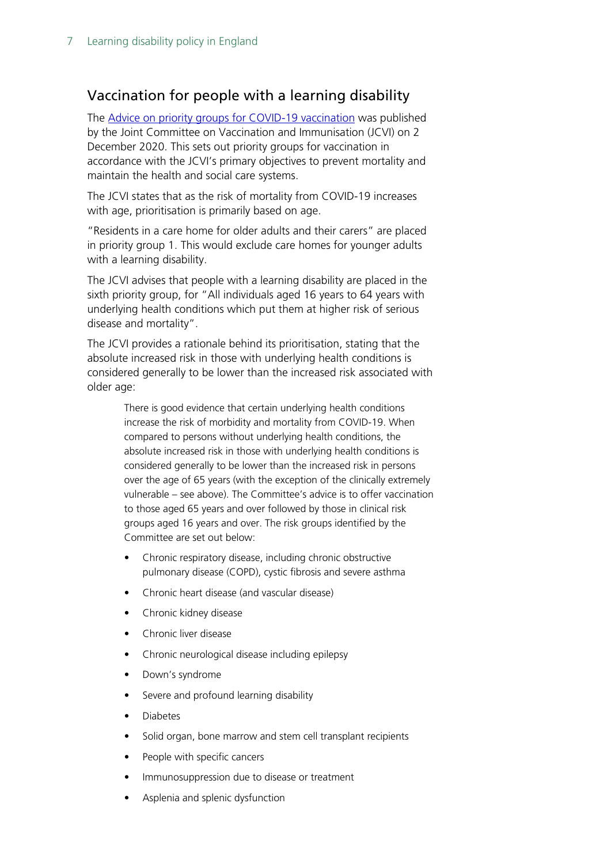### Vaccination for people with a learning disability

The [Advice on priority groups for COVID-19 vaccination](https://assets.publishing.service.gov.uk/government/uploads/system/uploads/attachment_data/file/940396/Priority_groups_for_coronavirus__COVID-19__vaccination_-_advice_from_the_JCVI__2_December_2020.pdf) was published by the Joint Committee on Vaccination and Immunisation (JCVI) on 2 December 2020. This sets out priority groups for vaccination in accordance with the JCVI's primary objectives to prevent mortality and maintain the health and social care systems.

The JCVI states that as the risk of mortality from COVID-19 increases with age, prioritisation is primarily based on age.

"Residents in a care home for older adults and their carers" are placed in priority group 1. This would exclude care homes for younger adults with a learning disability.

The JCVI advises that people with a learning disability are placed in the sixth priority group, for "All individuals aged 16 years to 64 years with underlying health conditions which put them at higher risk of serious disease and mortality".

The JCVI provides a rationale behind its prioritisation, stating that the absolute increased risk in those with underlying health conditions is considered generally to be lower than the increased risk associated with older age:

> There is good evidence that certain underlying health conditions increase the risk of morbidity and mortality from COVID-19. When compared to persons without underlying health conditions, the absolute increased risk in those with underlying health conditions is considered generally to be lower than the increased risk in persons over the age of 65 years (with the exception of the clinically extremely vulnerable – see above). The Committee's advice is to offer vaccination to those aged 65 years and over followed by those in clinical risk groups aged 16 years and over. The risk groups identified by the Committee are set out below:

- Chronic respiratory disease, including chronic obstructive pulmonary disease (COPD), cystic fibrosis and severe asthma
- Chronic heart disease (and vascular disease)
- Chronic kidney disease
- Chronic liver disease
- Chronic neurological disease including epilepsy
- Down's syndrome
- Severe and profound learning disability
- Diabetes
- Solid organ, bone marrow and stem cell transplant recipients
- People with specific cancers
- Immunosuppression due to disease or treatment
- Asplenia and splenic dysfunction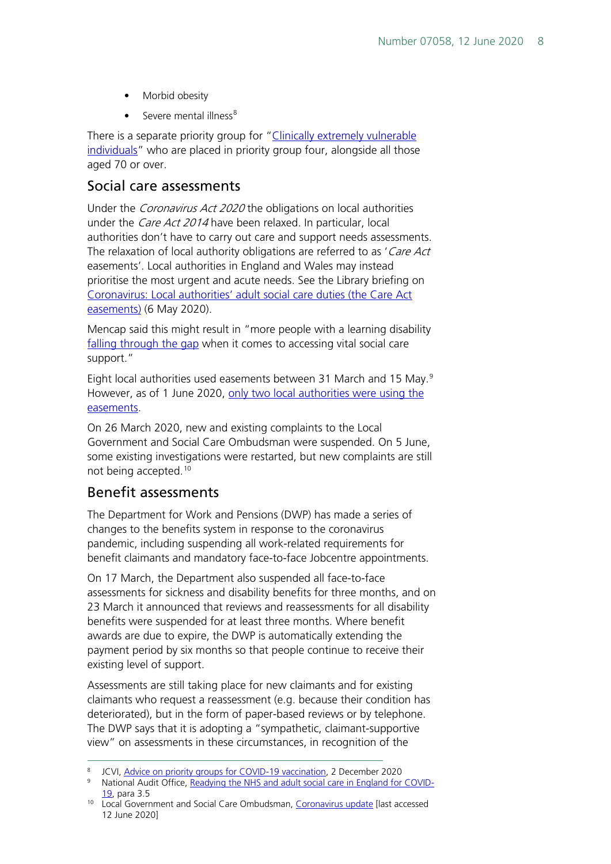- Morbid obesity
- Severe mental illness<sup>[8](#page-7-0)</sup>

There is a separate priority group for ["Clinically extremely vulnerable](https://www.gov.uk/government/publications/guidance-on-shielding-and-protecting-extremely-vulnerable-persons-from-covid-19/guidance-on-shielding-and-protecting-extremely-vulnerable-persons-from-covid-19)  [individuals"](https://www.gov.uk/government/publications/guidance-on-shielding-and-protecting-extremely-vulnerable-persons-from-covid-19/guidance-on-shielding-and-protecting-extremely-vulnerable-persons-from-covid-19) who are placed in priority group four, alongside all those aged 70 or over.

#### Social care assessments

Under the *Coronavirus Act 2020* the obligations on local authorities under the *Care Act 2014* have been relaxed. In particular, local authorities don't have to carry out care and support needs assessments. The relaxation of local authority obligations are referred to as 'Care Act easements'. Local authorities in England and Wales may instead prioritise the most urgent and acute needs. See the Library briefing on [Coronavirus: Local authorities' adult social care duties \(the Care Act](https://commonslibrary.parliament.uk/research-briefings/cbp-8889/)  [easements\)](https://commonslibrary.parliament.uk/research-briefings/cbp-8889/) (6 May 2020).

Mencap said this might result in "more people with a learning disability [falling through the gap](https://www.mencap.org.uk/press-release/emergency-measures-must-have-interests-and-safety-most-vulnerable-our-society-its) when it comes to accessing vital social care support."

Eight local authorities used easements between 31 March and 15 May.<sup>[9](#page-7-1)</sup> However, as of 1 June 2020, only two local authorities were using the [easements.](https://www.cqc.org.uk/guidance-providers/adult-social-care/care-act-easements-it)

On 26 March 2020, new and existing complaints to the Local Government and Social Care Ombudsman were suspended. On 5 June, some existing investigations were restarted, but new complaints are still not being accepted.[10](#page-7-2)

### Benefit assessments

The Department for Work and Pensions (DWP) has made a series of changes to the benefits system in response to the coronavirus pandemic, including suspending all work-related requirements for benefit claimants and mandatory face-to-face Jobcentre appointments.

On 17 March, the Department also suspended all face-to-face assessments for sickness and disability benefits for three months, and on 23 March it announced that reviews and reassessments for all disability benefits were suspended for at least three months. Where benefit awards are due to expire, the DWP is automatically extending the payment period by six months so that people continue to receive their existing level of support.

Assessments are still taking place for new claimants and for existing claimants who request a reassessment (e.g. because their condition has deteriorated), but in the form of paper-based reviews or by telephone. The DWP says that it is adopting a "sympathetic, claimant-supportive view" on assessments in these circumstances, in recognition of the

<span id="page-7-0"></span><sup>8</sup> JCVI[, Advice on priority groups for COVID-19 vaccination,](https://assets.publishing.service.gov.uk/government/uploads/system/uploads/attachment_data/file/940396/Priority_groups_for_coronavirus__COVID-19__vaccination_-_advice_from_the_JCVI__2_December_2020.pdf) 2 December 2020

<span id="page-7-1"></span><sup>9</sup> National Audit Office, [Readying the NHS and adult social care in England for COVID-](https://www.nao.org.uk/wp-content/uploads/2020/06/Readying-the-NHS-and-adult-social-care-in-England-for-COVID-19.pdf)[19,](https://www.nao.org.uk/wp-content/uploads/2020/06/Readying-the-NHS-and-adult-social-care-in-England-for-COVID-19.pdf) para 3.5

<span id="page-7-2"></span><sup>10</sup> Local Government and Social Care Ombudsman, [Coronavirus update](https://www.lgo.org.uk/announcement) [last accessed 12 June 2020]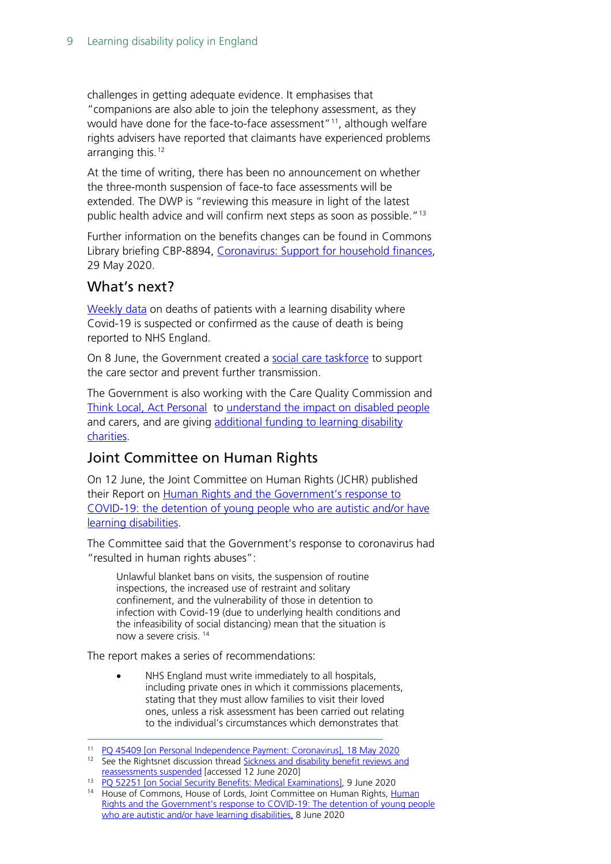challenges in getting adequate evidence. It emphasises that "companions are also able to join the telephony assessment, as they would have done for the face-to-face assessment"<sup>11</sup>, although welfare rights advisers have reported that claimants have experienced problems arranging this. $12$ 

At the time of writing, there has been no announcement on whether the three-month suspension of face-to face assessments will be extended. The DWP is "reviewing this measure in light of the latest public health advice and will confirm next steps as soon as possible."<sup>[13](#page-8-2)</sup>

Further information on the benefits changes can be found in Commons Library briefing CBP-8894, [Coronavirus: Support for household finances,](https://commonslibrary.parliament.uk/research-briefings/cbp-8894/) 29 May 2020.

#### What's next?

[Weekly data](https://www.england.nhs.uk/publication/covid-19-deaths-of-patients-with-a-learning-disability-notified-to-leder/) on deaths of patients with a learning disability where Covid-19 is suspected or confirmed as the cause of death is being reported to NHS England.

On 8 June, the Government created a [social care taskforce](https://www.gov.uk/government/news/whole-home-testing-rolled-out-to-all-care-homes-in-england?utm_source=4b5e322f-b379-447b-935b-b5a7fa1dcbb5&utm_medium=email&utm_campaign=govuk-notifications&utm_content=immediate) to support the care sector and prevent further transmission.

The Government is also working with the Care Quality Commission and [Think Local, Act Personal](https://www.thinklocalactpersonal.org.uk/About-us/) to [understand the impact on disabled people](https://www.parliament.uk/written-questions-answers-statements/written-question/lords/2020-05-05/HL3974) and carers, and are giving additional funding to learning disability [charities.](https://www.gov.uk/government/news/22-million-awarded-to-life-saving-health-charities-during-virus-outbreak)

## Joint Committee on Human Rights

On 12 June, the Joint Committee on Human Rights (JCHR) published their Report on [Human Rights and the Government's response to](https://www.parliament.uk/business/committees/committees-a-z/joint-select/human-rights-committee/news-parliament-2017/covid-19-and-detention-young-people-autistic-learning-disabilities-report-published-19-21/)  [COVID-19: the detention of young people who are autistic and/or have](https://www.parliament.uk/business/committees/committees-a-z/joint-select/human-rights-committee/news-parliament-2017/covid-19-and-detention-young-people-autistic-learning-disabilities-report-published-19-21/)  [learning disabilities.](https://www.parliament.uk/business/committees/committees-a-z/joint-select/human-rights-committee/news-parliament-2017/covid-19-and-detention-young-people-autistic-learning-disabilities-report-published-19-21/)

The Committee said that the Government's response to coronavirus had "resulted in human rights abuses":

Unlawful blanket bans on visits, the suspension of routine inspections, the increased use of restraint and solitary confinement, and the vulnerability of those in detention to infection with Covid-19 (due to underlying health conditions and the infeasibility of social distancing) mean that the situation is now a severe crisis. [14](#page-8-3)

The report makes a series of recommendations:

• NHS England must write immediately to all hospitals, including private ones in which it commissions placements, stating that they must allow families to visit their loved ones, unless a risk assessment has been carried out relating to the individual's circumstances which demonstrates that

<span id="page-8-0"></span><sup>11</sup> [PQ 45409 \[on Personal Independence Payment: Coronavirus\], 18 May 2020](https://www.parliament.uk/written-questions-answers-statements/written-question/commons/2020-05-11/45409)

<span id="page-8-1"></span><sup>&</sup>lt;sup>12</sup> See the Rightsnet discussion thread Sickness and disability benefit reviews and [reassessments suspended](https://www.rightsnet.org.uk/forums/viewthread/15776/P30/#77091) [accessed 12 June 2020]

<span id="page-8-3"></span><span id="page-8-2"></span><sup>13</sup> [PQ 52251 \[on Social Security Benefits: Medical Examinations\],](https://www.parliament.uk/business/publications/written-questions-answers-statements/written-question/Commons/2020-06-01/52251) 9 June 2020

<sup>&</sup>lt;sup>14</sup> House of Commons, House of Lords, Joint Committee on [Human](https://publications.parliament.uk/pa/jt5801/jtselect/jtrights/395/395.pdf) Rights, Human [Rights and the Government's response to COVID-19: The detention of young people](https://publications.parliament.uk/pa/jt5801/jtselect/jtrights/395/395.pdf)  [who are autistic and/or have learning disabilities,](https://publications.parliament.uk/pa/jt5801/jtselect/jtrights/395/395.pdf) 8 June 2020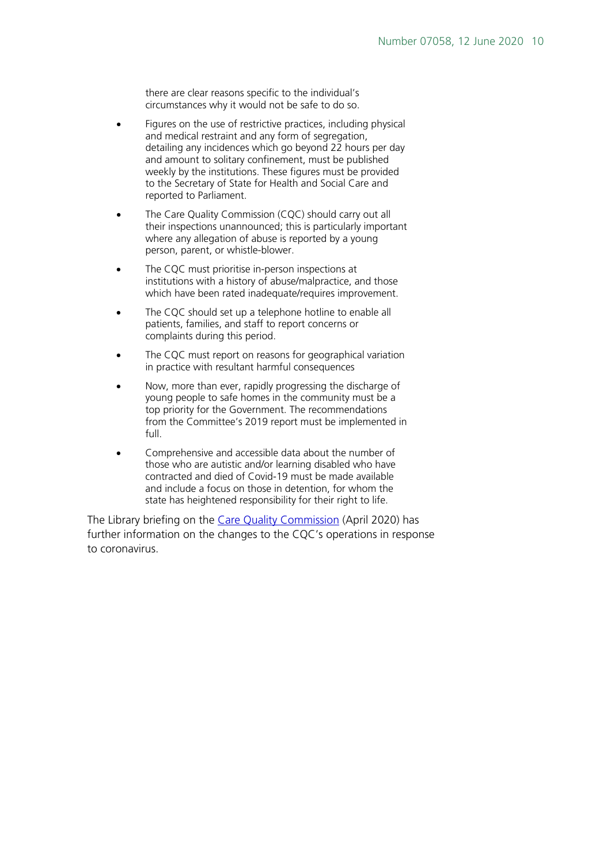there are clear reasons specific to the individual's circumstances why it would not be safe to do so.

- Figures on the use of restrictive practices, including physical and medical restraint and any form of segregation, detailing any incidences which go beyond 22 hours per day and amount to solitary confinement, must be published weekly by the institutions. These figures must be provided to the Secretary of State for Health and Social Care and reported to Parliament.
- The Care Quality Commission (CQC) should carry out all their inspections unannounced; this is particularly important where any allegation of abuse is reported by a young person, parent, or whistle-blower.
- The CQC must prioritise in-person inspections at institutions with a history of abuse/malpractice, and those which have been rated inadequate/requires improvement.
- The CQC should set up a telephone hotline to enable all patients, families, and staff to report concerns or complaints during this period.
- The CQC must report on reasons for geographical variation in practice with resultant harmful consequences
- Now, more than ever, rapidly progressing the discharge of young people to safe homes in the community must be a top priority for the Government. The recommendations from the Committee's 2019 report must be implemented in full.
- Comprehensive and accessible data about the number of those who are autistic and/or learning disabled who have contracted and died of Covid-19 must be made available and include a focus on those in detention, for whom the state has heightened responsibility for their right to life.

The Library briefing on the [Care Quality Commission](https://commonslibrary.parliament.uk/research-briefings/cbp-8754/) (April 2020) has further information on the changes to the CQC's operations in response to coronavirus.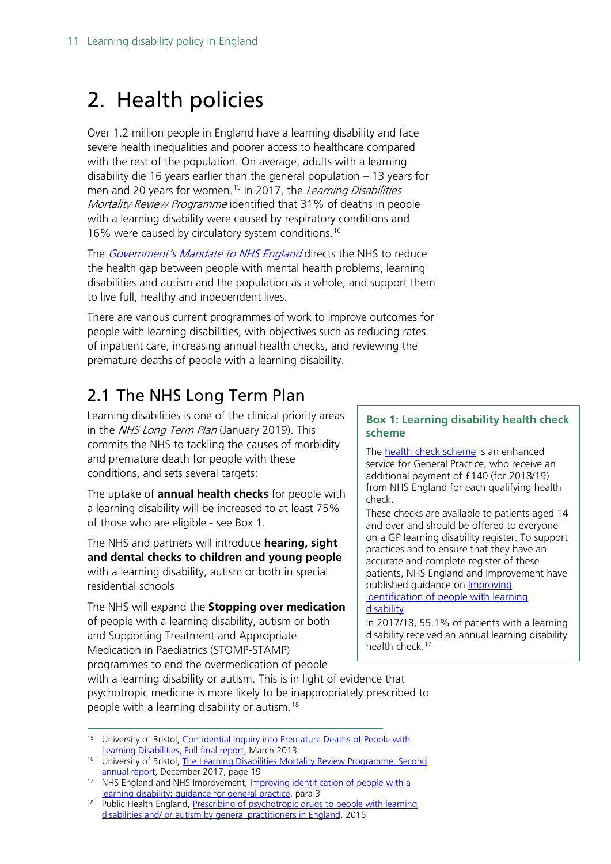# <span id="page-10-0"></span>2. Health policies

Over 1.2 million people in England have a learning disability and face severe health inequalities and poorer access to healthcare compared with the rest of the population. On average, adults with a learning disability die 16 years earlier than the general population – 13 years for men and 20 years for women.<sup>[15](#page-10-2)</sup> In 2017, the Learning Disabilities Mortality Review Programme identified that 31% of deaths in people with a learning disability were caused by respiratory conditions and 16% were caused by circulatory system conditions.[16](#page-10-3)

The [Government's Mandate to NHS England](https://assets.publishing.service.gov.uk/government/uploads/system/uploads/attachment_data/file/803111/revised-mandate-to-nhs-england-2018-to-2019.pdf) directs the NHS to reduce the health gap between people with mental health problems, learning disabilities and autism and the population as a whole, and support them to live full, healthy and independent lives.

There are various current programmes of work to improve outcomes for people with learning disabilities, with objectives such as reducing rates of inpatient care, increasing annual health checks, and reviewing the premature deaths of people with a learning disability.

# <span id="page-10-1"></span>2.1 The NHS Long Term Plan

Learning disabilities is one of the clinical priority areas in the NHS Long Term Plan (January 2019). This commits the NHS to tackling the causes of morbidity and premature death for people with these conditions, and sets several targets:

The uptake of **annual health checks** for people with a learning disability will be increased to at least 75% of those who are eligible - see Box 1.

The NHS and partners will introduce **hearing, sight and dental checks to children and young people** with a learning disability, autism or both in special residential schools

The NHS will expand the **Stopping over medication** of people with a learning disability, autism or both and Supporting Treatment and Appropriate Medication in Paediatrics (STOMP-STAMP) programmes to end the overmedication of people

#### **Box 1: Learning disability health check scheme**

The [health check scheme](https://digital.nhs.uk/services/general-practice-gp-collections/service-information/learning-disabilities-health-check-scheme) is an enhanced service for General Practice, who receive an additional payment of £140 (for 2018/19) from NHS England for each qualifying health check.

These checks are available to patients aged 14 and over and should be offered to everyone on a GP learning disability register. To support practices and to ensure that they have an accurate and complete register of these patients, NHS England and Improvement have published guidance on **Improving** identification of people with learning

#### [disability.](https://www.england.nhs.uk/publication/improving-identification-of-people-with-a-learning-disability-guidance-for-general-practice/)

In 2017/18, 55.1% of patients with a learning disability received an annual learning disability health check. [17](#page-10-5)

with a learning disability or autism. This is in light of evidence that psychotropic medicine is more likely to be inappropriately prescribed to people with a learning disability or autism.[18](#page-10-4)

<span id="page-10-2"></span><sup>15</sup> University of Bristol, Confidential Inquiry into Premature Deaths of People with [Learning Disabilities, Full final report,](http://www.bristol.ac.uk/media-library/sites/cipold/migrated/documents/fullfinalreport.pdf) March 2013

<span id="page-10-3"></span><sup>&</sup>lt;sup>16</sup> University of Bristol, **The Learning Disabilities Mortality Review Programme: Second** [annual report,](http://www.bristol.ac.uk/media-library/sites/sps/leder/leder_annual_report_2016-2017.pdf) December 2017, page 19

<span id="page-10-5"></span><sup>&</sup>lt;sup>17</sup> NHS England and NHS Improvement, *Improving identification of people with a* [learning disability: guidance for general practice,](https://www.england.nhs.uk/wp-content/uploads/2019/10/improving-identification-of-people-with-a-learning-disability-guidance-for-general-practice.pdf) para 3

<span id="page-10-4"></span><sup>&</sup>lt;sup>18</sup> Public Health England, Prescribing of psychotropic drugs to people with learning [disabilities and/ or autism by general practitioners in England,](https://webarchive.nationalarchives.gov.uk/20160704161911/http:/www.improvinghealthandlives.org.uk/securefiles/160704_1723/Psychotropic%20medication%20and%20people%20with%20learning%20disabilities%20or%20autism.pdf) 2015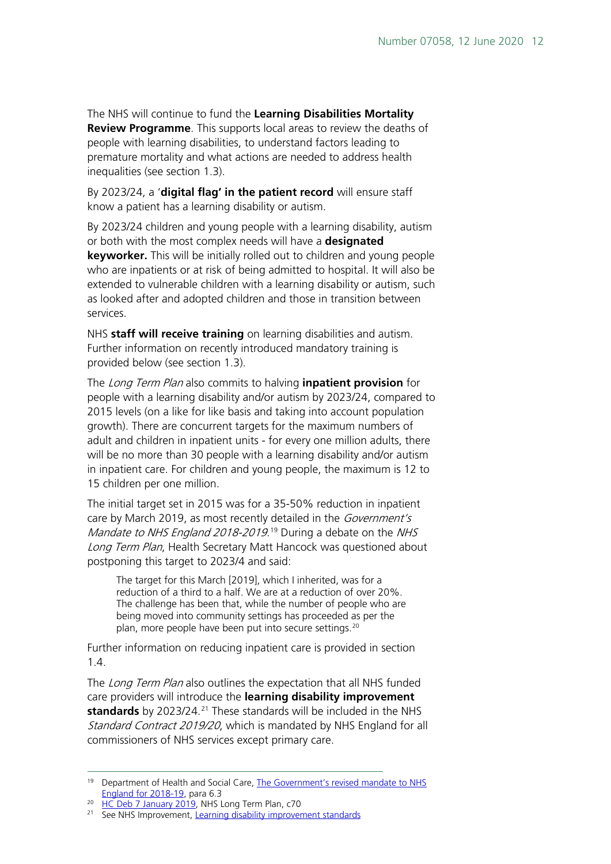The NHS will continue to fund the **Learning Disabilities Mortality Review Programme**. This supports local areas to review the deaths of people with learning disabilities, to understand factors leading to premature mortality and what actions are needed to address health inequalities (see section 1.3).

By 2023/24, a '**digital flag' in the patient record** will ensure staff know a patient has a learning disability or autism.

By 2023/24 children and young people with a learning disability, autism or both with the most complex needs will have a **designated keyworker.** This will be initially rolled out to children and young people who are inpatients or at risk of being admitted to hospital. It will also be extended to vulnerable children with a learning disability or autism, such as looked after and adopted children and those in transition between services.

NHS **staff will receive training** on learning disabilities and autism. Further information on recently introduced mandatory training is provided below (see section 1.3).

The Long Term Plan also commits to halving **inpatient provision** for people with a learning disability and/or autism by 2023/24, compared to 2015 levels (on a like for like basis and taking into account population growth). There are concurrent targets for the maximum numbers of adult and children in inpatient units - for every one million adults, there will be no more than 30 people with a learning disability and/or autism in inpatient care. For children and young people, the maximum is 12 to 15 children per one million.

The initial target set in 2015 was for a 35-50% reduction in inpatient care by March 2019, as most recently detailed in the Government's Mandate to NHS England 2018-20[19](#page-11-0).<sup>19</sup> During a debate on the NHS Long Term Plan, Health Secretary Matt Hancock was questioned about postponing this target to 2023/4 and said:

The target for this March [2019], which I inherited, was for a reduction of a third to a half. We are at a reduction of over 20%. The challenge has been that, while the number of people who are being moved into community settings has proceeded as per the plan, more people have been put into secure settings.<sup>[20](#page-11-1)</sup>

Further information on reducing inpatient care is provided in section 1.4.

The Long Term Plan also outlines the expectation that all NHS funded care providers will introduce the **learning disability improvement standards** by 2023/24.<sup>[21](#page-11-2)</sup> These standards will be included in the NHS Standard Contract 2019/20, which is mandated by NHS England for all commissioners of NHS services except primary care.

<span id="page-11-0"></span><sup>&</sup>lt;sup>19</sup> Department of Health and Social Care, [The Government's revised mandate to](https://assets.publishing.service.gov.uk/government/uploads/system/uploads/attachment_data/file/803111/revised-mandate-to-nhs-england-2018-to-2019.pdf) NHS [England for 2018-19,](https://assets.publishing.service.gov.uk/government/uploads/system/uploads/attachment_data/file/803111/revised-mandate-to-nhs-england-2018-to-2019.pdf) para 6.3

<span id="page-11-1"></span><sup>&</sup>lt;sup>20</sup> [HC Deb 7 January 2019,](https://hansard.parliament.uk/Commons/2019-01-07/debates/DE5BAD29-C906-481B-8886-7A2CD833A58D/NHSLong-TermPlan#contribution-89413EE5-95AF-4552-A3D1-BA29A0344F95) NHS Long Term Plan, c70

<span id="page-11-2"></span><sup>&</sup>lt;sup>21</sup> See NHS Improvement, [Learning disability improvement standards](https://improvement.nhs.uk/resources/learning-disability-improvement-standards-nhs-trusts/)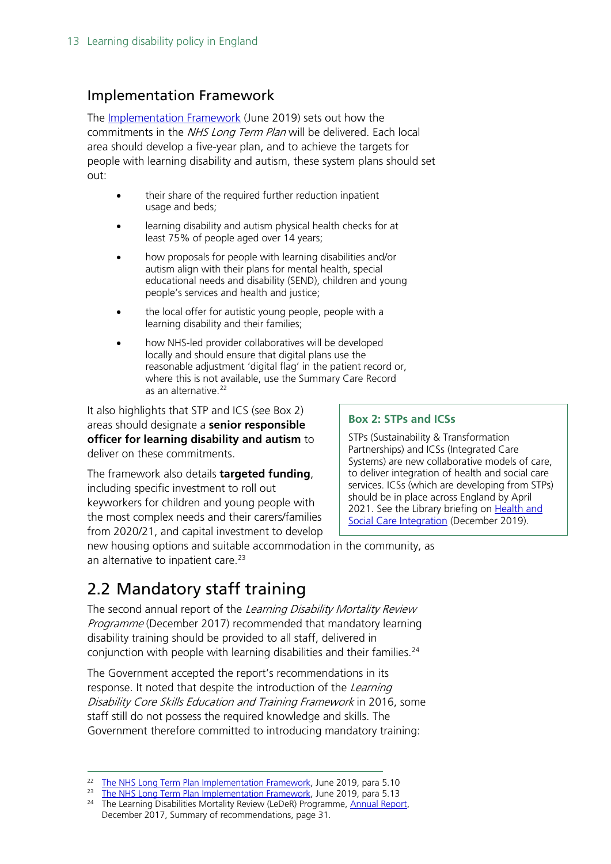#### Implementation Framework

The [Implementation Framework](https://www.longtermplan.nhs.uk/wp-content/uploads/2019/06/long-term-plan-implementation-framework-v1.pdf) (June 2019) sets out how the commitments in the *NHS Long Term Plan* will be delivered. Each local area should develop a five-year plan, and to achieve the targets for people with learning disability and autism, these system plans should set out:

- their share of the required further reduction inpatient usage and beds;
- learning disability and autism physical health checks for at least 75% of people aged over 14 years;
- how proposals for people with learning disabilities and/or autism align with their plans for mental health, special educational needs and disability (SEND), children and young people's services and health and justice;
- the local offer for autistic young people, people with a learning disability and their families;
- how NHS-led provider collaboratives will be developed locally and should ensure that digital plans use the reasonable adjustment 'digital flag' in the patient record or, where this is not available, use the Summary Care Record as an alternative.<sup>22</sup>

It also highlights that STP and ICS (see Box 2) areas should designate a **senior responsible officer for learning disability and autism** to deliver on these commitments.

The framework also details **targeted funding**, including specific investment to roll out keyworkers for children and young people with the most complex needs and their carers/families from 2020/21, and capital investment to develop

#### **Box 2: STPs and ICSs**

STPs (Sustainability & Transformation Partnerships) and ICSs (Integrated Care Systems) are new collaborative models of care, to deliver integration of health and social care services. ICSs (which are developing from STPs) should be in place across England by April 2021. See the Library briefing on Health and [Social Care Integration](https://researchbriefings.parliament.uk/ResearchBriefing/Summary/CBP-7902) (December 2019).

new housing options and suitable accommodation in the community, as an alternative to inpatient care.<sup>[23](#page-12-2)</sup>

# <span id="page-12-0"></span>2.2 Mandatory staff training

The second annual report of the Learning Disability Mortality Review Programme (December 2017) recommended that mandatory learning disability training should be provided to all staff, delivered in conjunction with people with learning disabilities and their families.<sup>[24](#page-12-3)</sup>

The Government accepted the report's recommendations in its response. It noted that despite the introduction of the Learning Disability Core Skills Education and Training Framework in 2016, some staff still do not possess the required knowledge and skills. The Government therefore committed to introducing mandatory training:

<span id="page-12-1"></span><sup>&</sup>lt;sup>22</sup> [The NHS Long Term Plan Implementation Framework,](https://www.longtermplan.nhs.uk/wp-content/uploads/2019/06/long-term-plan-implementation-framework-v1.pdf) June 2019, para 5.10

<span id="page-12-2"></span><sup>&</sup>lt;sup>23</sup> The NHS [Long Term Plan Implementation Framework,](https://www.longtermplan.nhs.uk/wp-content/uploads/2019/06/long-term-plan-implementation-framework-v1.pdf) June 2019, para 5.13

<span id="page-12-3"></span><sup>&</sup>lt;sup>24</sup> The Learning Disabilities Mortality Review (LeDeR) Programme, [Annual Report,](http://www.bristol.ac.uk/university/media/press/2018/leder-annual-report-final.pdf) December 2017, Summary of recommendations, page 31.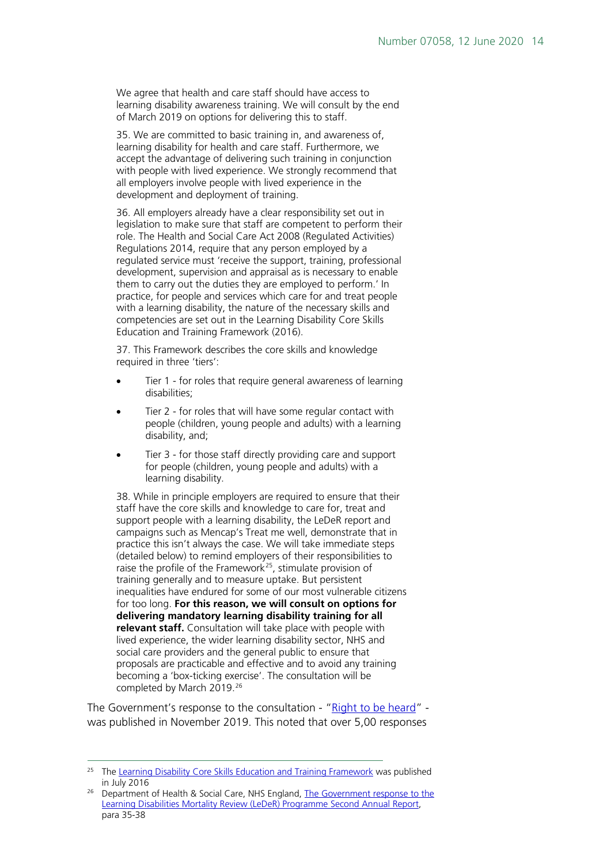We agree that health and care staff should have access to learning disability awareness training. We will consult by the end of March 2019 on options for delivering this to staff.

35. We are committed to basic training in, and awareness of, learning disability for health and care staff. Furthermore, we accept the advantage of delivering such training in conjunction with people with lived experience. We strongly recommend that all employers involve people with lived experience in the development and deployment of training.

36. All employers already have a clear responsibility set out in legislation to make sure that staff are competent to perform their role. The Health and Social Care Act 2008 (Regulated Activities) Regulations 2014, require that any person employed by a regulated service must 'receive the support, training, professional development, supervision and appraisal as is necessary to enable them to carry out the duties they are employed to perform.' In practice, for people and services which care for and treat people with a learning disability, the nature of the necessary skills and competencies are set out in the Learning Disability Core Skills Education and Training Framework (2016).

37. This Framework describes the core skills and knowledge required in three 'tiers':

- Tier 1 for roles that require general awareness of learning disabilities;
- Tier 2 for roles that will have some regular contact with people (children, young people and adults) with a learning disability, and;
- Tier 3 for those staff directly providing care and support for people (children, young people and adults) with a learning disability.

38. While in principle employers are required to ensure that their staff have the core skills and knowledge to care for, treat and support people with a learning disability, the LeDeR report and campaigns such as Mencap's Treat me well, demonstrate that in practice this isn't always the case. We will take immediate steps (detailed below) to remind employers of their responsibilities to raise the profile of the Framework<sup>25</sup>, stimulate provision of training generally and to measure uptake. But persistent inequalities have endured for some of our most vulnerable citizens for too long. **For this reason, we will consult on options for delivering mandatory learning disability training for all relevant staff.** Consultation will take place with people with lived experience, the wider learning disability sector, NHS and social care providers and the general public to ensure that proposals are practicable and effective and to avoid any training becoming a 'box-ticking exercise'. The consultation will be completed by March 2019.[26](#page-13-1)

The Government's response to the consultation - ["Right to be heard"](https://assets.publishing.service.gov.uk/government/uploads/system/uploads/attachment_data/file/844356/autism-and-learning-disability-training-for-staff-consultation-response.pdf) was published in November 2019. This noted that over 5,00 responses

<span id="page-13-0"></span><sup>&</sup>lt;sup>25</sup> The [Learning Disability Core Skills Education and Training Framework](http://www.skillsforhealth.org.uk/images/resource-section/projects/learning-disabilities/Learning-Disabilities-CSTF.pdf) was published in July 2016

<span id="page-13-1"></span>Department of Health & Social Care, NHS England, The Government response to the [Learning Disabilities Mortality Review \(LeDeR\) Programme Second Annual Report,](https://assets.publishing.service.gov.uk/government/uploads/system/uploads/attachment_data/file/739560/government-response-to-leder-programme-2nd-annual-report.pdf)  para 35-38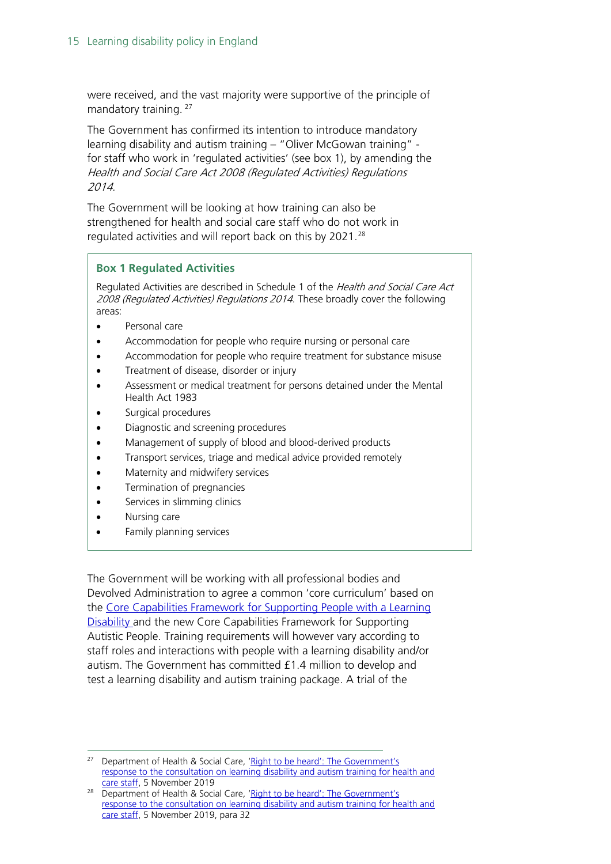were received, and the vast majority were supportive of the principle of mandatory training.<sup>[27](#page-14-0)</sup>

The Government has confirmed its intention to introduce mandatory learning disability and autism training – "Oliver McGowan training" for staff who work in 'regulated activities' (see box 1), by amending the Health and Social Care Act 2008 (Regulated Activities) Regulations 2014.

The Government will be looking at how training can also be strengthened for health and social care staff who do not work in regulated activities and will report back on this by 2021.<sup>[28](#page-14-1)</sup>

#### **Box 1 Regulated Activities**

Regulated Activities are described in Schedule 1 of the Health and Social Care Act 2008 (Regulated Activities) Regulations 2014. These broadly cover the following areas:

- Personal care
- Accommodation for people who require nursing or personal care
- Accommodation for people who require treatment for substance misuse
- Treatment of disease, disorder or injury
- Assessment or medical treatment for persons detained under the Mental Health Act 1983
- Surgical procedures
- Diagnostic and screening procedures
- Management of supply of blood and blood-derived products
- Transport services, triage and medical advice provided remotely
- Maternity and midwifery services
- Termination of pregnancies
- Services in slimming clinics
- Nursing care
- Family planning services

The Government will be working with all professional bodies and Devolved Administration to agree a common 'core curriculum' based on the [Core Capabilities Framework for Supporting People with a Learning](http://www.skillsforhealth.org.uk/learningdisabilityandautismframeworks)  [Disability](http://www.skillsforhealth.org.uk/learningdisabilityandautismframeworks) and the new Core Capabilities Framework for Supporting Autistic People. Training requirements will however vary according to staff roles and interactions with people with a learning disability and/or autism. The Government has committed £1.4 million to develop and test a learning disability and autism training package. A trial of the

<span id="page-14-0"></span><sup>27</sup> Department of Health & Social Care, 'Right to be heard': The Government's [response to the consultation on learning disability and autism training for health and](http://data.parliament.uk/DepositedPapers/files/DEP2019-1035/Consultation_response.pdf)  [care staff,](http://data.parliament.uk/DepositedPapers/files/DEP2019-1035/Consultation_response.pdf) 5 November 2019

<span id="page-14-1"></span><sup>&</sup>lt;sup>28</sup> Department of Health & Social Care, 'Right to be heard': The Government's [response to the consultation on learning disability and autism training for health and](http://data.parliament.uk/DepositedPapers/files/DEP2019-1035/Consultation_response.pdf)  [care staff,](http://data.parliament.uk/DepositedPapers/files/DEP2019-1035/Consultation_response.pdf) 5 November 2019, para 32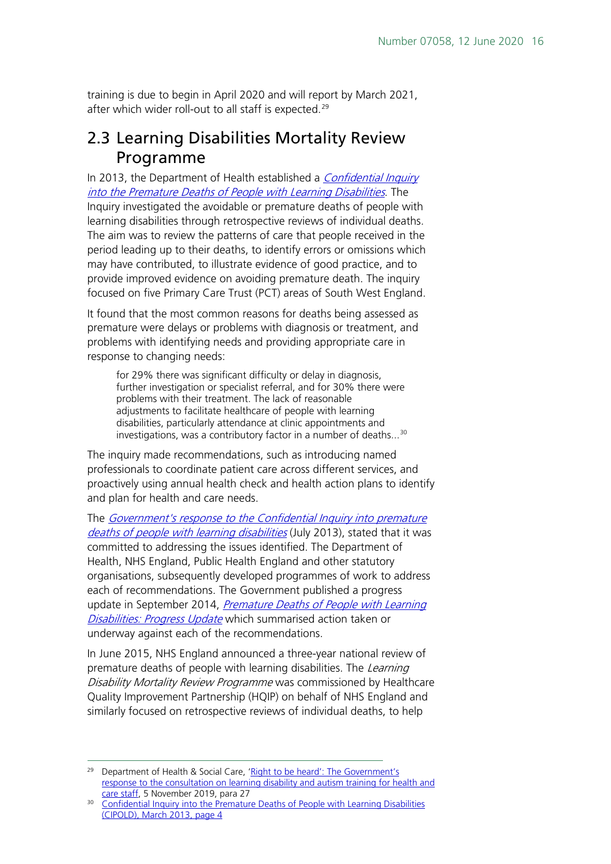training is due to begin in April 2020 and will report by March 2021, after which wider roll-out to all staff is expected.<sup>[29](#page-15-1)</sup>

## <span id="page-15-0"></span>2.3 Learning Disabilities Mortality Review Programme

In 2013, the Department of Health established a *Confidential Inquiry* [into the Premature Deaths of People with Learning Disabilities](http://www.bris.ac.uk/cipold/fullfinalreport.pdf). The Inquiry investigated the avoidable or premature deaths of people with learning disabilities through retrospective reviews of individual deaths. The aim was to review the patterns of care that people received in the period leading up to their deaths, to identify errors or omissions which may have contributed, to illustrate evidence of good practice, and to provide improved evidence on avoiding premature death. The inquiry focused on five Primary Care Trust (PCT) areas of South West England.

It found that the most common reasons for deaths being assessed as premature were delays or problems with diagnosis or treatment, and problems with identifying needs and providing appropriate care in response to changing needs:

for 29% there was significant difficulty or delay in diagnosis, further investigation or specialist referral, and for 30% there were problems with their treatment. The lack of reasonable adjustments to facilitate healthcare of people with learning disabilities, particularly attendance at clinic appointments and investigations, was a contributory factor in a number of deaths...<sup>[30](#page-15-2)</sup>

The inquiry made recommendations, such as introducing named professionals to coordinate patient care across different services, and proactively using annual health check and health action plans to identify and plan for health and care needs.

The [Government's response to the Confidential Inquiry into premature](https://www.gov.uk/government/uploads/system/uploads/attachment_data/file/212077/Government_Response_to_the_Confidential_Inquiry_into_Premature_Deaths_of_People_with_Learning_Disabilities_-_full_report.pdf)  [deaths of people with learning disabilities](https://www.gov.uk/government/uploads/system/uploads/attachment_data/file/212077/Government_Response_to_the_Confidential_Inquiry_into_Premature_Deaths_of_People_with_Learning_Disabilities_-_full_report.pdf) (July 2013), stated that it was committed to addressing the issues identified. The Department of Health, NHS England, Public Health England and other statutory organisations, subsequently developed programmes of work to address each of recommendations. The Government published a progress update in September 2014, Premature Deaths of People with Learning [Disabilities: Progress Update](https://www.gov.uk/government/uploads/system/uploads/attachment_data/file/356229/PUBLISH_42715_2902809_Progress_Report_Accessible_v04.pdf) which summarised action taken or underway against each of the recommendations.

In June 2015, NHS England announced a three-year national review of premature deaths of people with learning disabilities. The Learning Disability Mortality Review Programme was commissioned by Healthcare Quality Improvement Partnership (HQIP) on behalf of NHS England and similarly focused on retrospective reviews of individual deaths, to help

<span id="page-15-1"></span><sup>&</sup>lt;sup>29</sup> Department of Health & Social Care, 'Right to be heard': The Government's [response to the consultation on learning disability and autism training for health and](http://data.parliament.uk/DepositedPapers/files/DEP2019-1035/Consultation_response.pdf)  [care staff,](http://data.parliament.uk/DepositedPapers/files/DEP2019-1035/Consultation_response.pdf) 5 November 2019, para 27

<span id="page-15-2"></span><sup>&</sup>lt;sup>30</sup> Confidential Inquiry into the Premature Deaths of People with Learning Disabilities [\(CIPOLD\),](http://www.bris.ac.uk/cipold/fullfinalreport.pdf) March 2013, page 4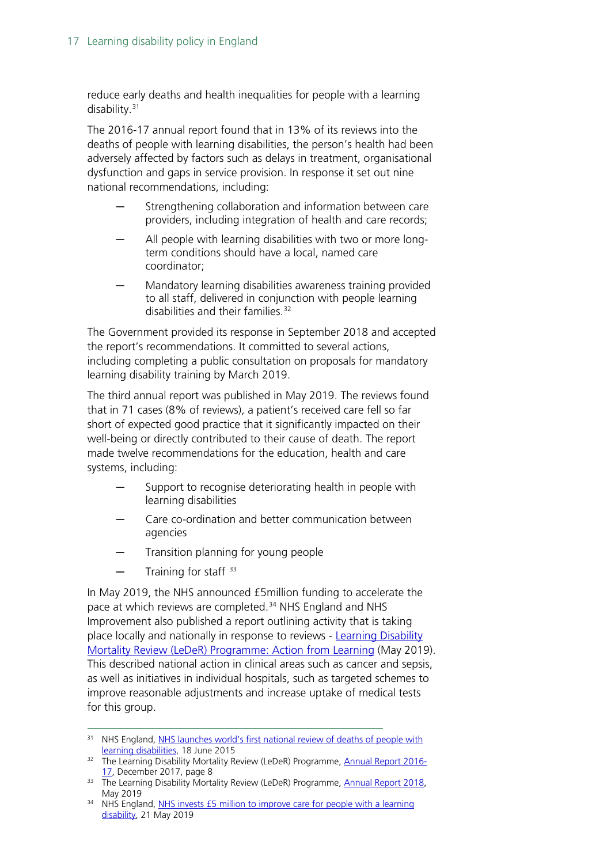reduce early deaths and health inequalities for people with a learning disability. [31](#page-16-0)

The 2016-17 annual report found that in 13% of its reviews into the deaths of people with learning disabilities, the person's health had been adversely affected by factors such as delays in treatment, organisational dysfunction and gaps in service provision. In response it set out nine national recommendations, including:

- Strengthening collaboration and information between care providers, including integration of health and care records;
- All people with learning disabilities with two or more longterm conditions should have a local, named care coordinator;
- Mandatory learning disabilities awareness training provided to all staff, delivered in conjunction with people learning disabilities and their families.<sup>[32](#page-16-1)</sup>

The Government provided its response in September 2018 and accepted the report's recommendations. It committed to several actions, including completing a public consultation on proposals for mandatory learning disability training by March 2019.

The third annual report was published in May 2019. The reviews found that in 71 cases (8% of reviews), a patient's received care fell so far short of expected good practice that it significantly impacted on their well-being or directly contributed to their cause of death. The report made twelve recommendations for the education, health and care systems, including:

- Support to recognise deteriorating health in people with learning disabilities
- Care co-ordination and better communication between agencies
- Transition planning for young people
- Training for staff  $33$

In May 2019, the NHS announced £5million funding to accelerate the pace at which reviews are completed. [34](#page-16-3) NHS England and NHS Improvement also published a report outlining activity that is taking place locally and nationally in response to reviews - [Learning Disability](https://www.england.nhs.uk/publication/leder-action-from-learning/)  [Mortality Review \(LeDeR\) Programme: Action from Learning](https://www.england.nhs.uk/publication/leder-action-from-learning/) (May 2019). This described national action in clinical areas such as cancer and sepsis, as well as initiatives in individual hospitals, such as targeted schemes to improve reasonable adjustments and increase uptake of medical tests for this group.

<span id="page-16-0"></span><sup>&</sup>lt;sup>31</sup> NHS England, NHS launches world's first national review of deaths of people with [learning disabilities,](http://www.england.nhs.uk/2015/06/18/reduce-prem-mortality-ld/) 18 June 2015

<span id="page-16-1"></span><sup>&</sup>lt;sup>32</sup> The Learning Disability Mortality Review (LeDeR) Programme, [Annual Report 2016-](https://www.hqip.org.uk/wp-content/uploads/2018/05/LeDeR-annual-report-2016-2017-Final-6.pdf) [17,](https://www.hqip.org.uk/wp-content/uploads/2018/05/LeDeR-annual-report-2016-2017-Final-6.pdf) December 2017, page 8

<span id="page-16-2"></span><sup>&</sup>lt;sup>33</sup> The Learning Disability Mortality Review (LeDeR) Programme, Annual Report 2018, May 2019

<span id="page-16-3"></span> $34$  NHS England, NHS invests £5 million to improve care for people with a learning [disability,](https://www.england.nhs.uk/2019/05/nhs-invests-5-million-to-improve-care-for-people-with-a-learning-disability/) 21 May 2019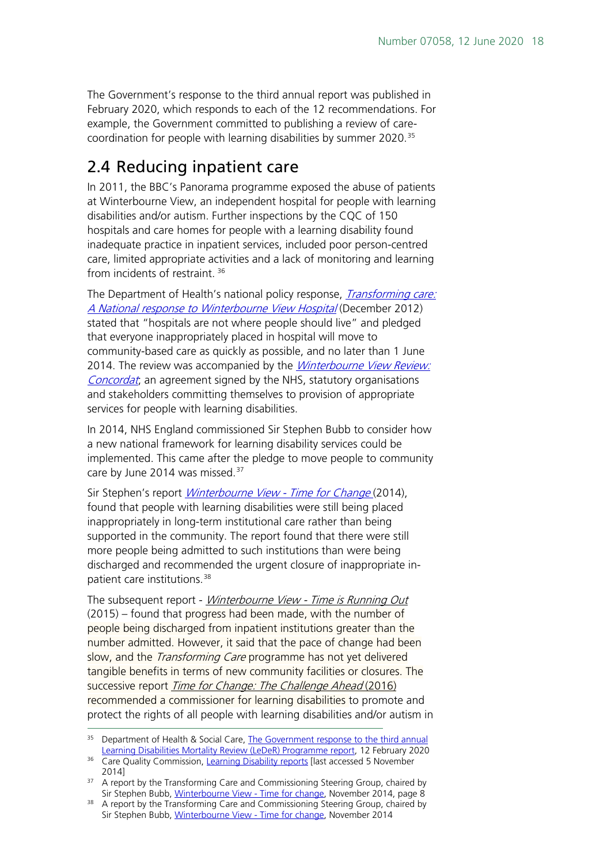The Government's response to the third annual report was published in February 2020, which responds to each of the 12 recommendations. For example, the Government committed to publishing a review of care-coordination for people with learning disabilities by summer 2020.<sup>[35](#page-17-1)</sup>

# <span id="page-17-0"></span>2.4 Reducing inpatient care

In 2011, the BBC's Panorama programme exposed the abuse of patients at Winterbourne View, an independent hospital for people with learning disabilities and/or autism. Further inspections by the CQC of 150 hospitals and care homes for people with a learning disability found inadequate practice in inpatient services, included poor person-centred care, limited appropriate activities and a lack of monitoring and learning from incidents of restraint.<sup>[36](#page-17-2)</sup>

The Department of Health's national policy response, *Transforming care:* [A National response to Winterbourne View Hospital](https://www.gov.uk/government/uploads/system/uploads/attachment_data/file/213215/final-report.pdf) (December 2012) stated that "hospitals are not where people should live" and pledged that everyone inappropriately placed in hospital will move to community-based care as quickly as possible, and no later than 1 June 2014. The review was accompanied by the *Winterbourne View Review:* [Concordat](https://www.gov.uk/government/uploads/system/uploads/attachment_data/file/213217/Concordat.pdf); an agreement signed by the NHS, statutory organisations and stakeholders committing themselves to provision of appropriate services for people with learning disabilities.

In 2014, NHS England commissioned Sir Stephen Bubb to consider how a new national framework for learning disability services could be implemented. This came after the pledge to move people to community care by June 2014 was missed.<sup>[37](#page-17-3)</sup>

Sir Stephen's report *Winterbourne View - [Time for Change](https://www.acevo.org.uk/news/winterbourne-view)* (2014), found that people with learning disabilities were still being placed inappropriately in long-term institutional care rather than being supported in the community. The report found that there were still more people being admitted to such institutions than were being discharged and recommended the urgent closure of inappropriate inpatient care institutions. [38](#page-17-4)

The subsequent report - Winterbourne View - [Time is Running Out](https://www.acevo.org.uk/news/launch-winterbourne-view-time-running-out-report) (2015) – found that progress had been made, with the number of people being discharged from inpatient institutions greater than the number admitted. However, it said that the pace of change had been slow, and the *Transforming Care* programme has not yet delivered tangible benefits in terms of new community facilities or closures. The successive report [Time for Change: The Challenge Ahead](https://www.acevo.org.uk/wp-content/uploads/2019/07/Time-for-change.pdf) (2016) recommended a commissioner for learning disabilities to promote and protect the rights of all people with learning disabilities and/or autism in

<span id="page-17-1"></span><sup>&</sup>lt;sup>35</sup> Department of Health & Social Care, **The Government response to the third annual** [Learning Disabilities Mortality Review \(LeDeR\) Programme report,](https://assets.publishing.service.gov.uk/government/uploads/system/uploads/attachment_data/file/865288/government-response-to-leder-third-annual-report.pdf?utm_source=R%26I+%28business+communications%29&utm_campaign=dae1cfa9a7-EMAIL_CAMPAIGN_2019_10_01_02_11_COPY_54&utm_medium=email&utm_term=0_4957411bec-dae1cfa9a7-102480241&mc_cid=dae1cfa9a7&mc_eid=1d218a5f9f) 12 February 2020

<span id="page-17-2"></span><sup>&</sup>lt;sup>36</sup> Care Quality Commission, [Learning Disability reports](http://www.cqc.org.uk/LDReports?latest) [last accessed 5 November 2014] 2014] 2014 are port by the Transforming Care and Commissioning Steering Group, chaired by

<span id="page-17-3"></span>Sir Stephen Bubb, [Winterbourne View -](https://www.acevo.org.uk/news/winterbourne-view) Time for change, November 2014, page 8

<span id="page-17-4"></span><sup>&</sup>lt;sup>38</sup> A report by the Transforming Care and Commissioning Steering Group, chaired by Sir Stephen Bubb, [Winterbourne View -](https://www.acevo.org.uk/news/winterbourne-view) Time for change, November 2014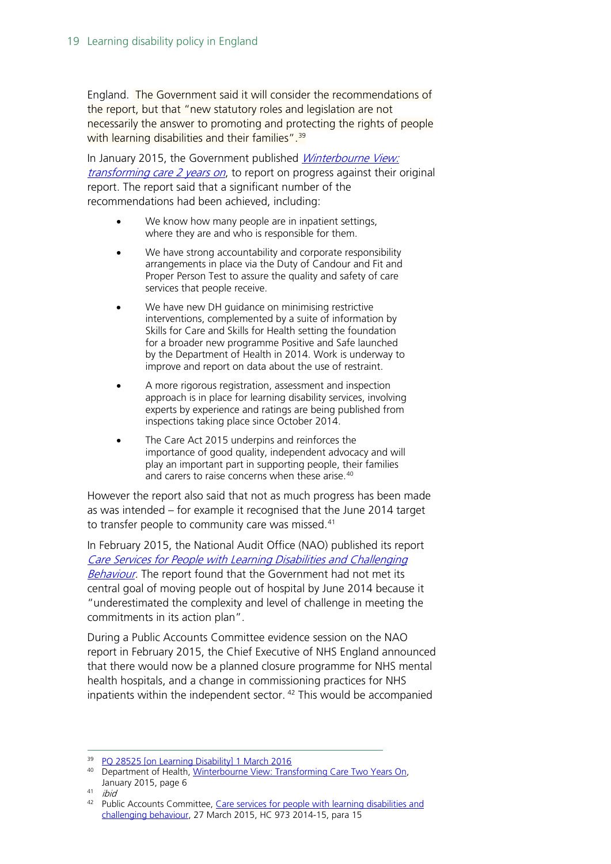England. The Government said it will consider the recommendations of the report, but that "new statutory roles and legislation are not necessarily the answer to promoting and protecting the rights of people with learning disabilities and their families".<sup>[39](#page-18-0)</sup>

In January 2015, the Government published *Winterbourne View:* [transforming care 2 years on](https://www.gov.uk/government/uploads/system/uploads/attachment_data/file/399755/Winterbourne_View.pdf), to report on progress against their original report. The report said that a significant number of the recommendations had been achieved, including:

- We know how many people are in inpatient settings, where they are and who is responsible for them.
- We have strong accountability and corporate responsibility arrangements in place via the Duty of Candour and Fit and Proper Person Test to assure the quality and safety of care services that people receive.
- We have new DH guidance on minimising restrictive interventions, complemented by a suite of information by Skills for Care and Skills for Health setting the foundation for a broader new programme Positive and Safe launched by the Department of Health in 2014. Work is underway to improve and report on data about the use of restraint.
- A more rigorous registration, assessment and inspection approach is in place for learning disability services, involving experts by experience and ratings are being published from inspections taking place since October 2014.
- The Care Act 2015 underpins and reinforces the importance of good quality, independent advocacy and will play an important part in supporting people, their families and carers to raise concerns when these arise.<sup>[40](#page-18-1)</sup>

However the report also said that not as much progress has been made as was intended – for example it recognised that the June 2014 target to transfer people to community care was missed.<sup>[41](#page-18-2)</sup>

In February 2015, the National Audit Office (NAO) published its report [Care Services for People with Learning Disabilities and Challenging](https://www.nao.org.uk/report/care-services-for-people-with-learning-disabilities-and-challenging-behaviour/)  [Behaviour.](https://www.nao.org.uk/report/care-services-for-people-with-learning-disabilities-and-challenging-behaviour/) The report found that the Government had not met its central goal of moving people out of hospital by June 2014 because it "underestimated the complexity and level of challenge in meeting the commitments in its action plan".

During a Public Accounts Committee evidence session on the NAO report in February 2015, the Chief Executive of NHS England announced that there would now be a planned closure programme for NHS mental health hospitals, and a change in commissioning practices for NHS inpatients within the independent sector. [42](#page-18-3) This would be accompanied

<sup>&</sup>lt;sup>39</sup> [PQ 28525 \[on Learning Disability\] 1 March 2016](https://www.parliament.uk/written-questions-answers-statements/written-question/commons/2016-02-25/28525)

<span id="page-18-1"></span><span id="page-18-0"></span><sup>&</sup>lt;sup>40</sup> Department of Health, Winterbourne View: Transforming Care Two Years On, January 2015, page 6

<span id="page-18-2"></span><sup>41</sup> ibid

<span id="page-18-3"></span><sup>42</sup> Public Accounts Committee, [Care services for people with learning disabilities and](http://www.publications.parliament.uk/pa/cm201415/cmselect/cmpubacc/973/973.pdf)  [challenging behaviour,](http://www.publications.parliament.uk/pa/cm201415/cmselect/cmpubacc/973/973.pdf) 27 March 2015, HC 973 2014-15, para 15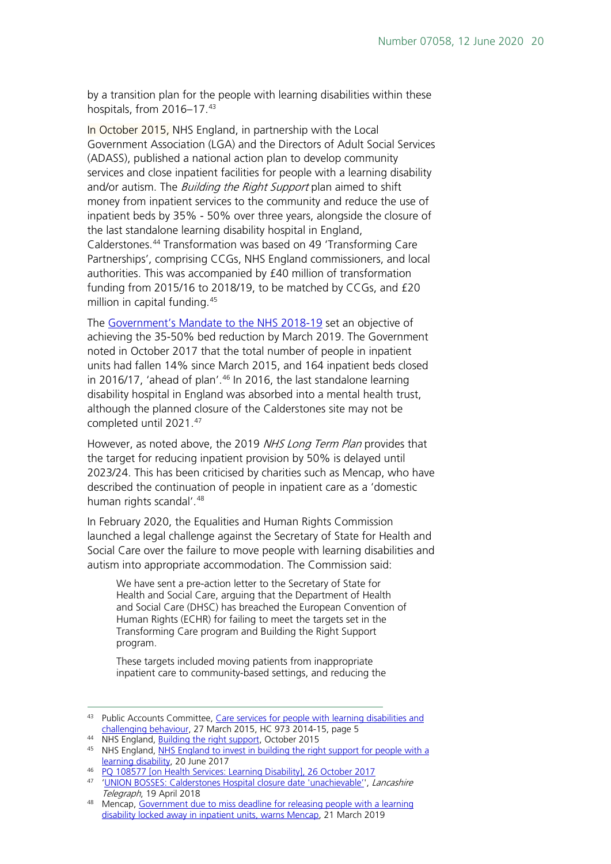by a transition plan for the people with learning disabilities within these hospitals, from 2016-17.[43](#page-19-0)

In October 2015, NHS England, in partnership with the Local Government Association (LGA) and the Directors of Adult Social Services (ADASS), published a national action plan to develop community services and close inpatient facilities for people with a learning disability and/or autism. The *Building the Right Support* plan aimed to shift money from inpatient services to the community and reduce the use of inpatient beds by 35% - 50% over three years, alongside the closure of the last standalone learning disability hospital in England, Calderstones. [44](#page-19-1) Transformation was based on 49 'Transforming Care Partnerships', comprising CCGs, NHS England commissioners, and local authorities. This was accompanied by £40 million of transformation funding from 2015/16 to 2018/19, to be matched by CCGs, and £20 million in capital funding.[45](#page-19-2)

The [Government's Mandate to the NHS 2018-19](https://assets.publishing.service.gov.uk/government/uploads/system/uploads/attachment_data/file/691998/nhse-mandate-2018-19.pdf) set an objective of achieving the 35-50% bed reduction by March 2019. The Government noted in October 2017 that the total number of people in inpatient units had fallen 14% since March 2015, and 164 inpatient beds closed in 2016/17, 'ahead of plan'. [46](#page-19-3) In 2016, the last standalone learning disability hospital in England was absorbed into a mental health trust, although the planned closure of the Calderstones site may not be completed until 2021.[47](#page-19-4)

However, as noted above, the 2019 NHS Long Term Plan provides that the target for reducing inpatient provision by 50% is delayed until 2023/24. This has been criticised by charities such as Mencap, who have described the continuation of people in inpatient care as a 'domestic human rights scandal'.<sup>[48](#page-19-5)</sup>

In February 2020, the Equalities and Human Rights Commission launched a legal challenge against the Secretary of State for Health and Social Care over the failure to move people with learning disabilities and autism into appropriate accommodation. The Commission said:

We have sent a pre-action letter to the Secretary of State for Health and Social Care, arguing that the Department of Health and Social Care (DHSC) has breached the European Convention of Human Rights (ECHR) for failing to meet the targets set in the Transforming Care program and Building the Right Support program.

These targets included moving patients from inappropriate inpatient care to community-based settings, and reducing the

<span id="page-19-0"></span><sup>43</sup> Public Accounts Committee, Care services for people with learning disabilities and [challenging behaviour,](http://www.publications.parliament.uk/pa/cm201415/cmselect/cmpubacc/973/973.pdf) 27 March 2015, HC 973 2014-15, page 5

<span id="page-19-1"></span><sup>44</sup> NHS England, [Building the right support,](https://www.england.nhs.uk/wp-content/uploads/2015/10/ld-nat-imp-plan-oct15.pdf) October 2015

<span id="page-19-2"></span><sup>45</sup> NHS England, NHS England to invest in building the right support for people with a [learning disability,](https://www.england.nhs.uk/2017/06/nhs-england-to-invest-in-building-the-right-support-for-people-with-a-learning-disability/) 20 June 2017

<span id="page-19-3"></span><sup>46</sup> [PQ 108577 \[on Health Services: Learning Disability\], 26 October 2017](https://www.parliament.uk/written-questions-answers-statements/written-question/commons/2017-10-18/108577)

<span id="page-19-4"></span><sup>47</sup> ['UNION BOSSES: Calderstones Hospital closure date 'unachievable''](http://www.lancashiretelegraph.co.uk/news/health/16169761.UNION_BOSSES__Calderstones_Hospital_closure_date__unachievable_/), Lancashire Telegraph, 19 April 2018

<span id="page-19-5"></span><sup>48</sup> Mencap, [Government due to miss deadline for releasing people with a learning](https://www.mencap.org.uk/press-release/government-due-miss-deadline-releasing-people-learning-disability-locked-away)  [disability locked away in inpatient units, warns Mencap,](https://www.mencap.org.uk/press-release/government-due-miss-deadline-releasing-people-learning-disability-locked-away) 21 March 2019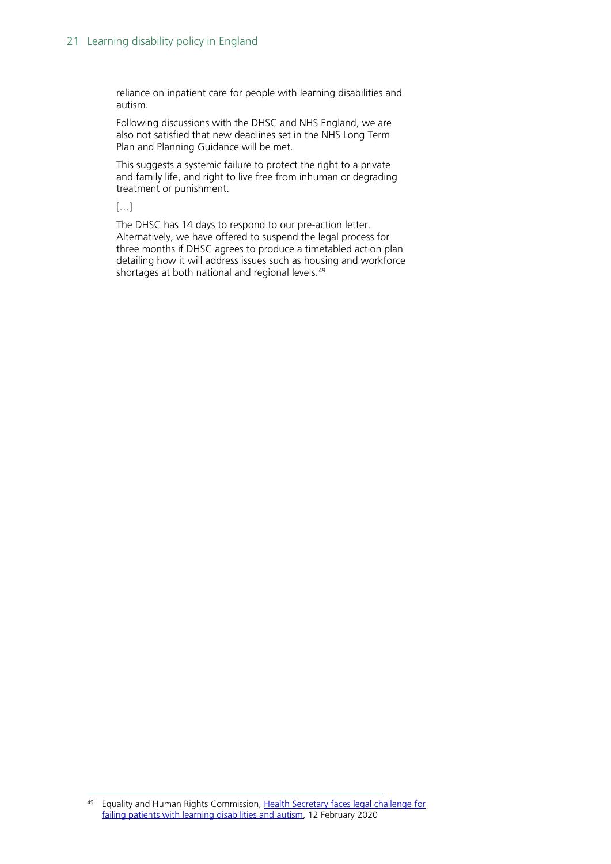reliance on inpatient care for people with learning disabilities and autism.

Following discussions with the DHSC and NHS England, we are also not satisfied that new deadlines set in the NHS Long Term Plan and Planning Guidance will be met.

This suggests a systemic failure to protect the right to a private and family life, and right to live free from inhuman or degrading treatment or punishment.

[…]

The DHSC has 14 days to respond to our pre-action letter. Alternatively, we have offered to suspend the legal process for three months if DHSC agrees to produce a timetabled action plan detailing how it will address issues such as housing and workforce shortages at both national and regional levels. [49](#page-20-0)

<span id="page-20-0"></span><sup>&</sup>lt;sup>49</sup> Equality and Human Rights Commission, Health Secretary faces legal challenge for [failing patients with learning disabilities and autism,](https://equalityhumanrights.com/en/our-work/news/health-secretary-faces-legal-challenge-failing-patients-learning-disabilities-and) 12 February 2020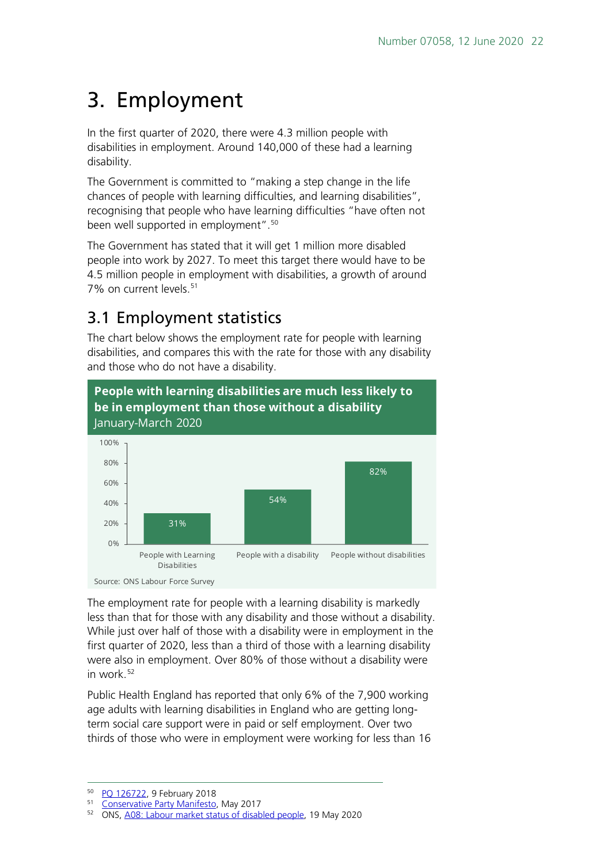# <span id="page-21-0"></span>3. Employment

In the first quarter of 2020, there were 4.3 million people with disabilities in employment. Around 140,000 of these had a learning disability.

The Government is committed to "making a step change in the life chances of people with learning difficulties, and learning disabilities", recognising that people who have learning difficulties "have often not been well supported in employment". [50](#page-21-2)

The Government has stated that it will get 1 million more disabled people into work by 2027. To meet this target there would have to be 4.5 million people in employment with disabilities, a growth of around 7% on current levels.<sup>[51](#page-21-3)</sup>

# <span id="page-21-1"></span>3.1 Employment statistics

The chart below shows the employment rate for people with learning disabilities, and compares this with the rate for those with any disability and those who do not have a disability.



The employment rate for people with a learning disability is markedly less than that for those with any disability and those without a disability. While just over half of those with a disability were in employment in the first quarter of 2020, less than a third of those with a learning disability were also in employment. Over 80% of those without a disability were in work $52$ 

Public Health England has reported that only 6% of the 7,900 working age adults with learning disabilities in England who are getting longterm social care support were in paid or self employment. Over two thirds of those who were in employment were working for less than 16

<span id="page-21-3"></span><span id="page-21-2"></span><sup>&</sup>lt;sup>50</sup> [PQ 126722,](https://www.parliament.uk/written-questions-answers-statements/written-question/commons/2018-02-05/126722) 9 February 2018

<sup>51</sup> [Conservative Party Manifesto,](https://www.conservatives.com/manifesto) May 2017

<span id="page-21-4"></span><sup>52</sup> ONS, [A08: Labour market status of disabled people,](https://www.ons.gov.uk/employmentandlabourmarket/peopleinwork/employmentandemployeetypes/datasets/labourmarketstatusofdisabledpeoplea08) 19 May 2020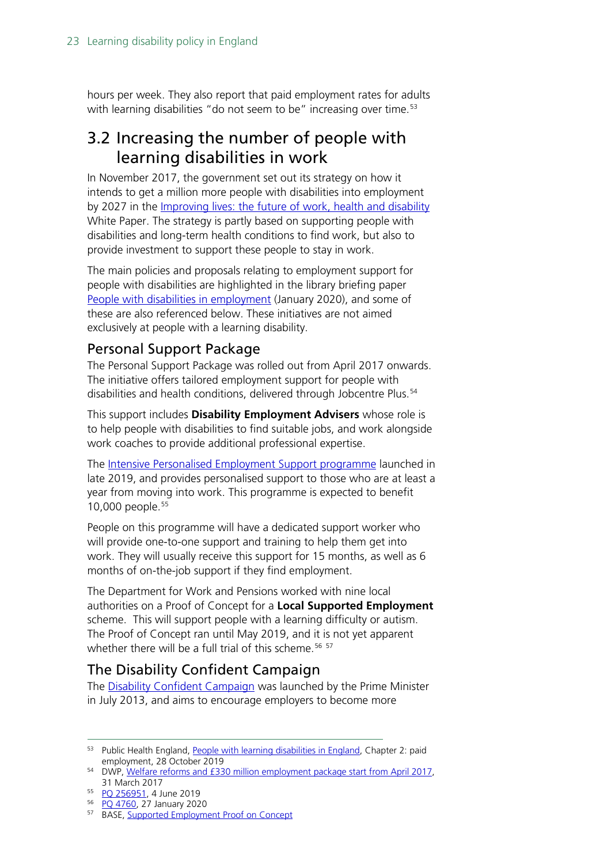hours per week. They also report that paid employment rates for adults with learning disabilities "do not seem to be" increasing over time.<sup>[53](#page-22-3)</sup>

## <span id="page-22-0"></span>3.2 Increasing the number of people with learning disabilities in work

In November 2017, the government set out its strategy on how it intends to get a million more people with disabilities into employment by 2027 in the [Improving lives: the future of work, health and disability](https://www.gov.uk/government/publications/improving-lives-the-future-of-work-health-and-disability) White Paper. The strategy is partly based on supporting people with disabilities and long-term health conditions to find work, but also to provide investment to support these people to stay in work.

The main policies and proposals relating to employment support for people with disabilities are highlighted in the library briefing paper [People with disabilities in employment](https://researchbriefings.parliament.uk/ResearchBriefing/Summary/CBP-7540) (January 2020), and some of these are also referenced below. These initiatives are not aimed exclusively at people with a learning disability.

## <span id="page-22-1"></span>Personal Support Package

The Personal Support Package was rolled out from April 2017 onwards. The initiative offers tailored employment support for people with disabilities and health conditions, delivered through Jobcentre Plus.<sup>[54](#page-22-4)</sup>

This support includes **Disability Employment Advisers** whose role is to help people with disabilities to find suitable jobs, and work alongside work coaches to provide additional professional expertise.

The [Intensive Personalised Employment Support programme](https://www.gov.uk/intensive-personalised-employment-support) launched in late 2019, and provides personalised support to those who are at least a year from moving into work. This programme is expected to benefit 10,000 people.<sup>[55](#page-22-5)</sup>

People on this programme will have a dedicated support worker who will provide one-to-one support and training to help them get into work. They will usually receive this support for 15 months, as well as 6 months of on-the-job support if they find employment.

The Department for Work and Pensions worked with nine local authorities on a Proof of Concept for a **Local Supported Employment** scheme. This will support people with a learning difficulty or autism. The Proof of Concept ran until May 2019, and it is not yet apparent whether there will be a full trial of this scheme.<sup>[56](#page-22-6) [57](#page-22-7)</sup>

## <span id="page-22-2"></span>The Disability Confident Campaign

The [Disability Confident Campaign](https://www.gov.uk/government/collections/disability-confident-campaign) was launched by the Prime Minister in July 2013, and aims to encourage employers to become more

<span id="page-22-3"></span><sup>53</sup> Public Health England, [People with learning disabilities in England,](https://www.gov.uk/government/publications/people-with-learning-disabilities-in-england) Chapter 2: paid employment, 28 October 2019

<span id="page-22-4"></span><sup>54</sup> DWP, [Welfare reforms and £330 million employment package start from April 2017,](https://www.gov.uk/government/news/welfare-reforms-and-330-million-employment-package-start-from-april-2017)  31 March 2017

<span id="page-22-5"></span><sup>55</sup> [PQ 256951,](https://www.parliament.uk/written-questions-answers-statements/written-question/commons/2019-05-21/256951) 4 June 2019

<sup>56</sup> [PQ 4760,](https://www.parliament.uk/written-questions-answers-statements/written-question/commons/2020-01-17/4760) 27 January 2020

<span id="page-22-7"></span><span id="page-22-6"></span><sup>57</sup> BASE, [Supported Employment Proof on Concept](https://www.base-uk.org/poc)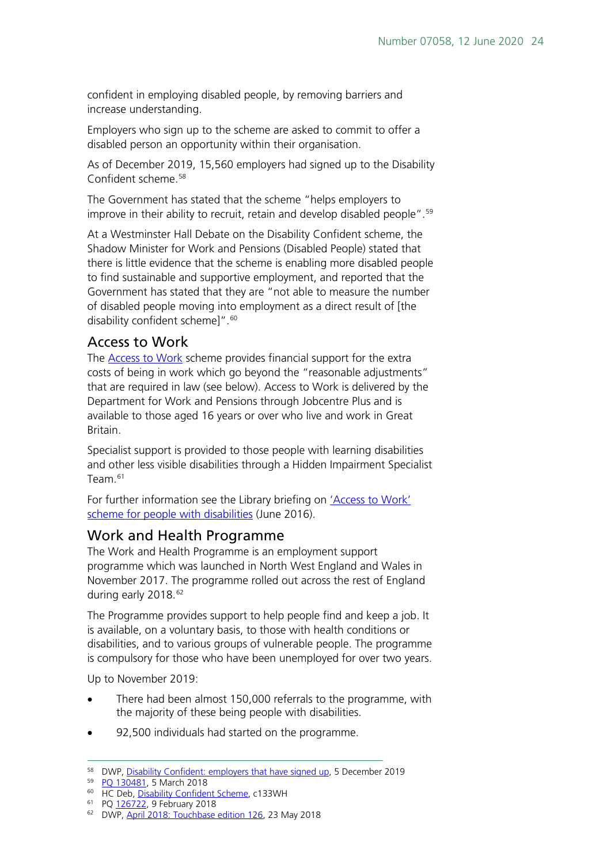confident in employing disabled people, by removing barriers and increase understanding.

Employers who sign up to the scheme are asked to commit to offer a disabled person an opportunity within their organisation.

As of December 2019, 15,560 employers had signed up to the Disability Confident scheme<sup>[58](#page-23-2)</sup>

The Government has stated that the scheme "helps employers to improve in their ability to recruit, retain and develop disabled people".<sup>[59](#page-23-3)</sup>

At a Westminster Hall Debate on the Disability Confident scheme, the Shadow Minister for Work and Pensions (Disabled People) stated that there is little evidence that the scheme is enabling more disabled people to find sustainable and supportive employment, and reported that the Government has stated that they are "not able to measure the number of disabled people moving into employment as a direct result of [the disability confident schemel".<sup>[60](#page-23-4)</sup>

#### <span id="page-23-0"></span>Access to Work

The [Access to Work](https://www.gov.uk/access-to-work) scheme provides financial support for the extra costs of being in work which go beyond the "reasonable adjustments" that are required in law (see below). Access to Work is delivered by the Department for Work and Pensions through Jobcentre Plus and is available to those aged 16 years or over who live and work in Great Britain.

Specialist support is provided to those people with learning disabilities and other less visible disabilities through a Hidden Impairment Specialist Team $61$ 

For further information see the Library briefing on ['Access to Work'](http://researchbriefings.intranet.parliament.uk/ResearchBriefing/Summary/SN06666)  [scheme for people with disabilities](http://researchbriefings.intranet.parliament.uk/ResearchBriefing/Summary/SN06666) (June 2016).

#### <span id="page-23-1"></span>Work and Health Programme

The Work and Health Programme is an employment support programme which was launched in North West England and Wales in November 2017. The programme rolled out across the rest of England during early 2018.<sup>[62](#page-23-6)</sup>

The Programme provides support to help people find and keep a job. It is available, on a voluntary basis, to those with health conditions or disabilities, and to various groups of vulnerable people. The programme is compulsory for those who have been unemployed for over two years.

Up to November 2019:

- There had been almost 150,000 referrals to the programme, with the majority of these being people with disabilities.
- 92,500 individuals had started on the programme.

<span id="page-23-2"></span><sup>58</sup> DWP, [Disability Confident: employers that have signed up,](https://www.gov.uk/government/publications/disability-confident-employers-that-have-signed-up) 5 December 2019

<span id="page-23-3"></span><sup>59</sup> PO 130481, 5 March 2018

<sup>&</sup>lt;sup>60</sup> HC Deb, [Disability Confident Scheme,](https://goo.gl/ykuGAv) c133WH

<span id="page-23-5"></span><span id="page-23-4"></span><sup>61</sup> P[Q 126722,](https://www.parliament.uk/written-questions-answers-statements/written-question/commons/2018-02-05/126722) 9 February 2018

<span id="page-23-6"></span><sup>62</sup> DWP, [April 2018: Touchbase edition 126,](https://www.gov.uk/government/publications/touchbase-dwp-news-about-work-working-age-benefits-and-services/april-2018-touchbase-edition-126) 23 May 2018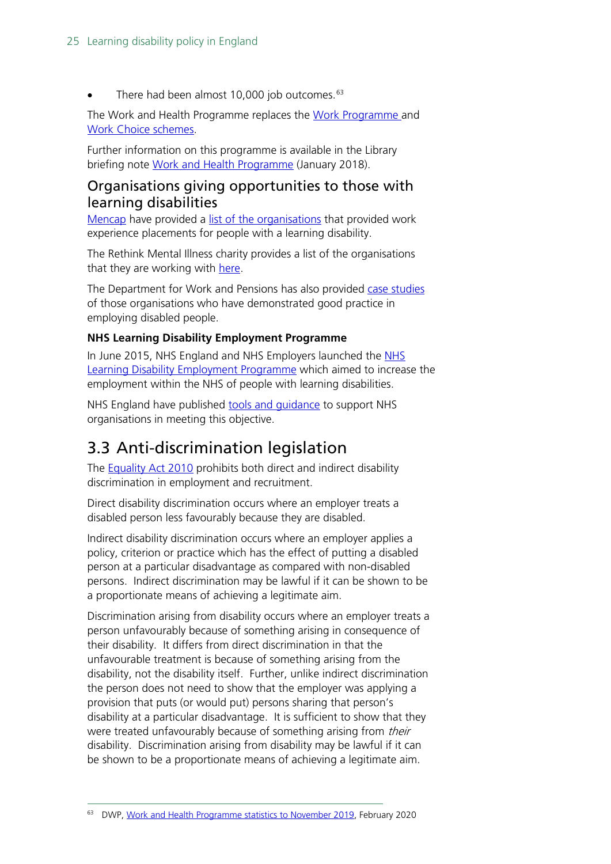There had been almost 10,000 job outcomes.<sup>[63](#page-24-2)</sup>

The Work and Health Programme replaces the [Work Programme](http://researchbriefings.parliament.uk/ResearchBriefing/Summary/SN06340) and [Work Choice](https://www.gov.uk/work-choice/overview) schemes.

Further information on this programme is available in the Library briefing note [Work and Health Programme](https://researchbriefings.parliament.uk/ResearchBriefing/Summary/CBP-7845) (January 2018).

#### <span id="page-24-0"></span>Organisations giving opportunities to those with learning disabilities

[Mencap](https://www.mencap.org.uk/) have provided a [list of the organisations](https://www.mencap.org.uk/get-involved/work-experience-week-information-employers/employers-we-work) that provided work experience placements for people with a learning disability.

The Rethink Mental Illness charity provides a list of the organisations that they are working with [here.](https://www.rethink.org/get-involved/corporate-partnerships)

The Department for Work and Pensions has also provided [case studies](https://www.gov.uk/government/publications/disability-confident-case-studies/disability-confident-case-studies) of those organisations who have demonstrated good practice in employing disabled people.

#### **NHS Learning Disability Employment Programme**

In June 2015, NHS England and NHS Employers launched the [NHS](https://www.england.nhs.uk/about/equality/equality-hub/ld-emp-prog/)  [Learning Disability Employment Programme](https://www.england.nhs.uk/about/equality/equality-hub/ld-emp-prog/) which aimed to increase the employment within the NHS of people with learning disabilities.

NHS England have published tools and quidance to support NHS organisations in meeting this objective.

# <span id="page-24-1"></span>3.3 Anti-discrimination legislation

The [Equality Act 2010](http://www.legislation.gov.uk/ukpga/2010/15/part/2/chapter/2/crossheading/adjustments-for-disabled-persons) prohibits both direct and indirect disability discrimination in employment and recruitment.

Direct disability discrimination occurs where an employer treats a disabled person less favourably because they are disabled.

Indirect disability discrimination occurs where an employer applies a policy, criterion or practice which has the effect of putting a disabled person at a particular disadvantage as compared with non-disabled persons. Indirect discrimination may be lawful if it can be shown to be a proportionate means of achieving a legitimate aim.

Discrimination arising from disability occurs where an employer treats a person unfavourably because of something arising in consequence of their disability. It differs from direct discrimination in that the unfavourable treatment is because of something arising from the disability, not the disability itself. Further, unlike indirect discrimination the person does not need to show that the employer was applying a provision that puts (or would put) persons sharing that person's disability at a particular disadvantage. It is sufficient to show that they were treated unfavourably because of something arising from their disability. Discrimination arising from disability may be lawful if it can be shown to be a proportionate means of achieving a legitimate aim.

<span id="page-24-2"></span><sup>63</sup> DWP, [Work and Health Programme statistics to November 2019,](https://www.gov.uk/government/collections/work-and-health-programme-statistics) February 2020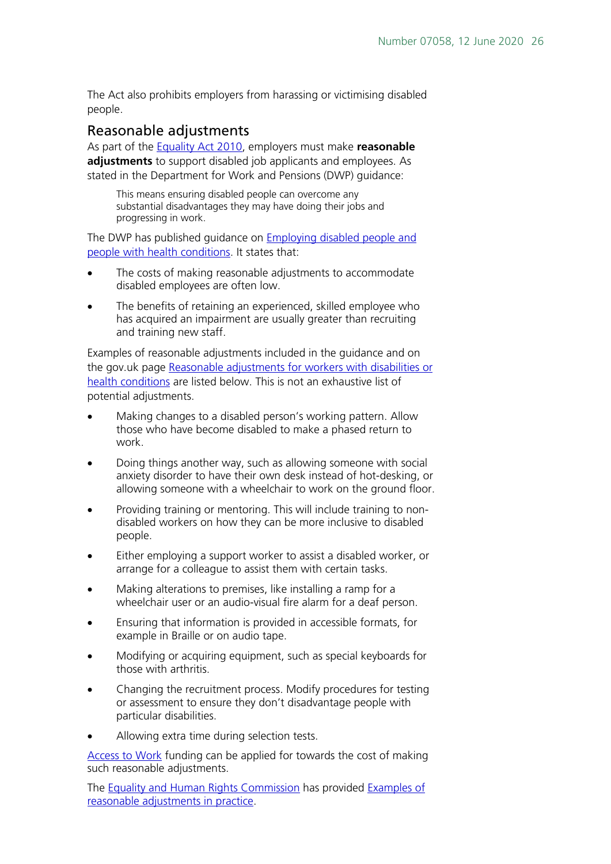The Act also prohibits employers from harassing or victimising disabled people.

#### Reasonable adjustments

As part of the [Equality Act 2010,](http://www.legislation.gov.uk/ukpga/2010/15/part/2/chapter/2/crossheading/adjustments-for-disabled-persons) employers must make **reasonable adjustments** to support disabled job applicants and employees. As stated in the Department for Work and Pensions (DWP) guidance:

This means ensuring disabled people can overcome any substantial disadvantages they may have doing their jobs and progressing in work.

The DWP has published guidance on [Employing disabled people and](https://www.gov.uk/government/publications/employing-disabled-people-and-people-with-health-conditions/employing-disabled-people-and-people-with-health-conditions)  [people with health conditions.](https://www.gov.uk/government/publications/employing-disabled-people-and-people-with-health-conditions/employing-disabled-people-and-people-with-health-conditions) It states that:

- The costs of making reasonable adjustments to accommodate disabled employees are often low.
- The benefits of retaining an experienced, skilled employee who has acquired an impairment are usually greater than recruiting and training new staff.

Examples of reasonable adjustments included in the guidance and on the gov.uk page [Reasonable adjustments for workers with disabilities or](https://www.gov.uk/reasonable-adjustments-for-disabled-workers)  [health conditions](https://www.gov.uk/reasonable-adjustments-for-disabled-workers) are listed below. This is not an exhaustive list of potential adjustments.

- Making changes to a disabled person's working pattern. Allow those who have become disabled to make a phased return to work.
- Doing things another way, such as allowing someone with social anxiety disorder to have their own desk instead of hot-desking, or allowing someone with a wheelchair to work on the ground floor.
- Providing training or mentoring. This will include training to nondisabled workers on how they can be more inclusive to disabled people.
- Either employing a support worker to assist a disabled worker, or arrange for a colleague to assist them with certain tasks.
- Making alterations to premises, like installing a ramp for a wheelchair user or an audio-visual fire alarm for a deaf person.
- Ensuring that information is provided in accessible formats, for example in Braille or on audio tape.
- Modifying or acquiring equipment, such as special keyboards for those with arthritis.
- Changing the recruitment process. Modify procedures for testing or assessment to ensure they don't disadvantage people with particular disabilities.
- Allowing extra time during selection tests.

[Access to Work](https://www.gov.uk/access-to-work) funding can be applied for towards the cost of making such reasonable adjustments.

The **Equality and Human Rights Commission** has provided **Examples of** [reasonable adjustments in practice.](https://www.equalityhumanrights.com/en/multipage-guide/examples-reasonable-adjustments-practice)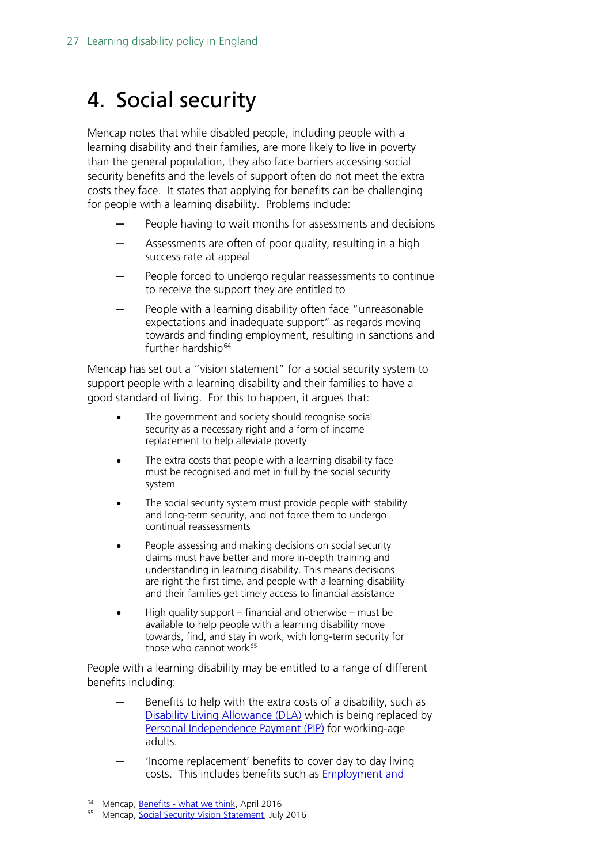# <span id="page-26-0"></span>4. Social security

Mencap notes that while disabled people, including people with a learning disability and their families, are more likely to live in poverty than the general population, they also face barriers accessing social security benefits and the levels of support often do not meet the extra costs they face. It states that applying for benefits can be challenging for people with a learning disability. Problems include:

- People having to wait months for assessments and decisions
- Assessments are often of poor quality, resulting in a high success rate at appeal
- People forced to undergo regular reassessments to continue to receive the support they are entitled to
- People with a learning disability often face "unreasonable" expectations and inadequate support" as regards moving towards and finding employment, resulting in sanctions and further hardship<sup>[64](#page-26-1)</sup>

Mencap has set out a "vision statement" for a social security system to support people with a learning disability and their families to have a good standard of living. For this to happen, it argues that:

- The government and society should recognise social security as a necessary right and a form of income replacement to help alleviate poverty
- The extra costs that people with a learning disability face must be recognised and met in full by the social security system
- The social security system must provide people with stability and long-term security, and not force them to undergo continual reassessments
- People assessing and making decisions on social security claims must have better and more in-depth training and understanding in learning disability. This means decisions are right the first time, and people with a learning disability and their families get timely access to financial assistance
- High quality support financial and otherwise must be available to help people with a learning disability move towards, find, and stay in work, with long-term security for those who cannot work $65$

People with a learning disability may be entitled to a range of different benefits including:

- Benefits to help with the extra costs of a disability, such as [Disability Living Allowance \(DLA\)](https://www.gov.uk/dla-disability-living-allowance-benefit) which is being replaced by [Personal Independence Payment \(PIP\)](https://www.gov.uk/pip) for working-age adults.
- 'Income replacement' benefits to cover day to day living costs. This includes benefits such as [Employment and](https://www.gov.uk/employment-support-allowance)

<span id="page-26-2"></span><span id="page-26-1"></span><sup>&</sup>lt;sup>64</sup> Mencap, <u>Benefits - what we think</u>, April 2016

<sup>65</sup> Mencap, [Social Security Vision Statement,](https://www.mencap.org.uk/sites/default/files/2019-09/2019.093%20Social%20security%20vision%20statement.pdf) July 2016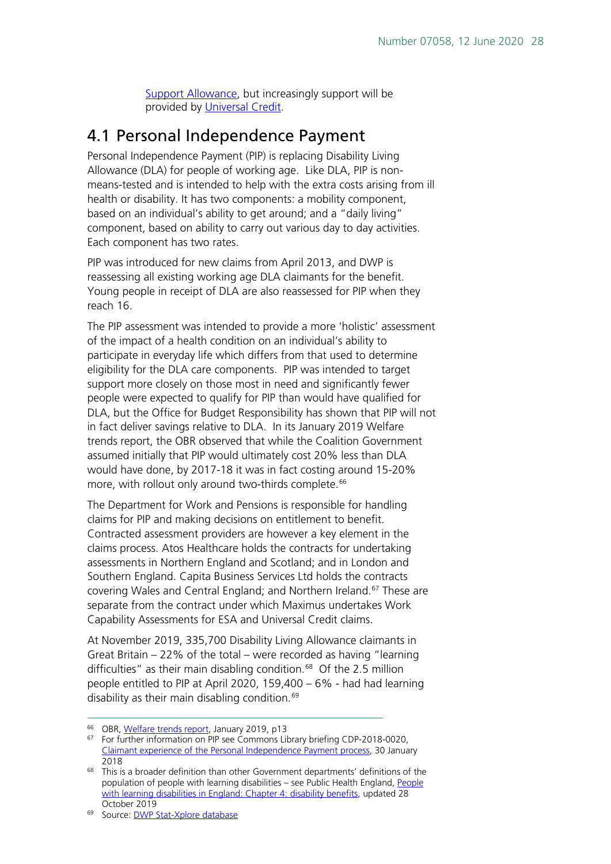[Support Allowance,](https://www.gov.uk/employment-support-allowance) but increasingly support will be provided by [Universal Credit.](https://www.gov.uk/universal-credit)

## <span id="page-27-0"></span>4.1 Personal Independence Payment

Personal Independence Payment (PIP) is replacing Disability Living Allowance (DLA) for people of working age. Like DLA, PIP is nonmeans-tested and is intended to help with the extra costs arising from ill health or disability. It has two components: a mobility component, based on an individual's ability to get around; and a "daily living" component, based on ability to carry out various day to day activities. Each component has two rates.

PIP was introduced for new claims from April 2013, and DWP is reassessing all existing working age DLA claimants for the benefit. Young people in receipt of DLA are also reassessed for PIP when they reach 16.

The PIP assessment was intended to provide a more 'holistic' assessment of the impact of a health condition on an individual's ability to participate in everyday life which differs from that used to determine eligibility for the DLA care components. PIP was intended to target support more closely on those most in need and significantly fewer people were expected to qualify for PIP than would have qualified for DLA, but the Office for Budget Responsibility has shown that PIP will not in fact deliver savings relative to DLA. In its January 2019 Welfare trends report, the OBR observed that while the Coalition Government assumed initially that PIP would ultimately cost 20% less than DLA would have done, by 2017-18 it was in fact costing around 15-20% more, with rollout only around two-thirds complete.<sup>[66](#page-27-1)</sup>

The Department for Work and Pensions is responsible for handling claims for PIP and making decisions on entitlement to benefit. Contracted assessment providers are however a key element in the claims process. Atos Healthcare holds the contracts for undertaking assessments in Northern England and Scotland; and in London and Southern England. Capita Business Services Ltd holds the contracts covering Wales and Central England; and Northern Ireland.<sup>[67](#page-27-2)</sup> These are separate from the contract under which Maximus undertakes Work Capability Assessments for ESA and Universal Credit claims.

At November 2019, 335,700 Disability Living Allowance claimants in Great Britain – 22% of the total – were recorded as having "learning difficulties" as their main disabling condition.<sup>68</sup> Of the 2.5 million people entitled to PIP at April 2020, 159,400 – 6% - had had learning disability as their main disabling condition.<sup>[69](#page-27-4)</sup>

<span id="page-27-1"></span><sup>&</sup>lt;sup>66</sup> OBR, [Welfare trends report,](https://obr.uk/wtr/welfare-trends-report-january-2019/) January 2019, p13

<span id="page-27-2"></span><sup>&</sup>lt;sup>67</sup> For further information on PIP see Commons Library briefing CDP-2018-0020, [Claimant experience of the Personal Independence Payment process,](https://researchbriefings.parliament.uk/ResearchBriefing/Summary/CDP-2018-0020) 30 January 2018

<span id="page-27-3"></span><sup>&</sup>lt;sup>68</sup> This is a broader definition than other Government departments' definitions of the population of people with learning disabilities – see Public Health England, [People](https://www.gov.uk/government/publications/people-with-learning-disabilities-in-england/chapter-4-benefits#disability-living-allowance)  [with learning disabilities in England: Chapter](https://www.gov.uk/government/publications/people-with-learning-disabilities-in-england/chapter-4-benefits#disability-living-allowance) 4: disability benefits, updated 28 October 2019

<span id="page-27-4"></span><sup>&</sup>lt;sup>69</sup> Source: **DWP Stat-Xplore database**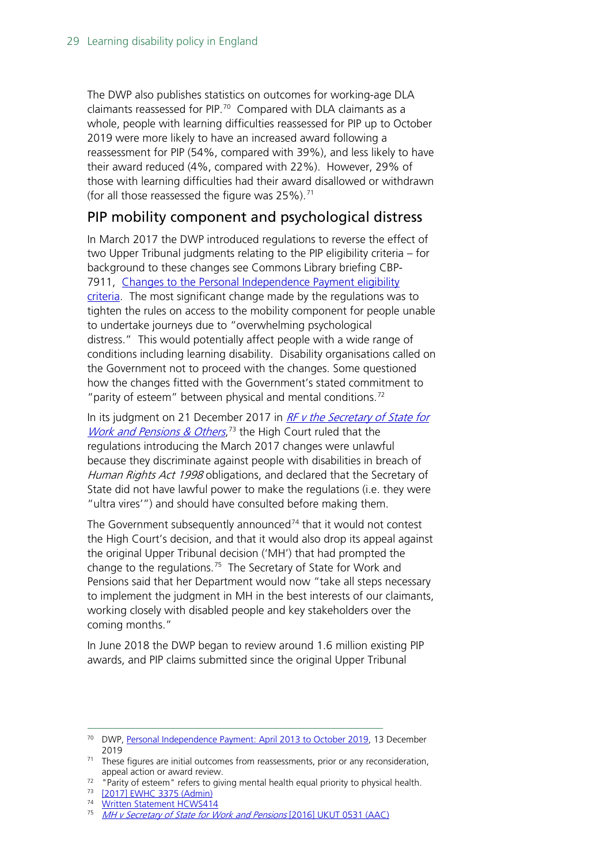The DWP also publishes statistics on outcomes for working-age DLA claimants reassessed for PIP.[70](#page-28-0) Compared with DLA claimants as a whole, people with learning difficulties reassessed for PIP up to October 2019 were more likely to have an increased award following a reassessment for PIP (54%, compared with 39%), and less likely to have their award reduced (4%, compared with 22%). However, 29% of those with learning difficulties had their award disallowed or withdrawn (for all those reassessed the figure was  $25\%$ ).<sup>[71](#page-28-1)</sup>

### PIP mobility component and psychological distress

In March 2017 the DWP introduced regulations to reverse the effect of two Upper Tribunal judgments relating to the PIP eligibility criteria – for background to these changes see Commons Library briefing CBP-7911, [Changes to the Personal Independence Payment eligibility](https://researchbriefings.parliament.uk/ResearchBriefing/Summary/CBP-7911)  [criteria.](https://researchbriefings.parliament.uk/ResearchBriefing/Summary/CBP-7911) The most significant change made by the regulations was to tighten the rules on access to the mobility component for people unable to undertake journeys due to "overwhelming psychological distress." This would potentially affect people with a wide range of conditions including learning disability. Disability organisations called on the Government not to proceed with the changes. Some questioned how the changes fitted with the Government's stated commitment to " parity of esteem" between physical and mental conditions.<sup>[72](#page-28-2)</sup>

In its judgment on 21 December 2017 in RF v the Secretary of State for Work and Pensions & Others,<sup>[73](#page-28-3)</sup> the High Court ruled that the regulations introducing the March 2017 changes were unlawful because they discriminate against people with disabilities in breach of Human Rights Act 1998 obligations, and declared that the Secretary of State did not have lawful power to make the regulations (i.e. they were "ultra vires'") and should have consulted before making them.

The Government subsequently announced $74$  that it would not contest the High Court's decision, and that it would also drop its appeal against the original Upper Tribunal decision ('MH') that had prompted the change to the regulations.<sup>[75](#page-28-5)</sup> The Secretary of State for Work and Pensions said that her Department would now "take all steps necessary to implement the judgment in MH in the best interests of our claimants, working closely with disabled people and key stakeholders over the coming months."

In June 2018 the DWP began to review around 1.6 million existing PIP awards, and PIP claims submitted since the original Upper Tribunal

<span id="page-28-0"></span><sup>&</sup>lt;sup>70</sup> DWP, [Personal Independence Payment: April 2013 to October 2019,](https://www.gov.uk/government/statistics/personal-independence-payment-april-2013-to-october-2019) 13 December 2019

<span id="page-28-1"></span> $71$  These figures are initial outcomes from reassessments, prior or any reconsideration, appeal action or award review.

<span id="page-28-3"></span><span id="page-28-2"></span><sup>&</sup>lt;sup>72</sup> "Parity of esteem" refers to giving mental health equal priority to physical health.<br><sup>73</sup> [\[2017\] EWHC 3375 \(Admin\)](http://www.bailii.org/ew/cases/EWHC/Admin/2017/3375.html)

<span id="page-28-4"></span><sup>&</sup>lt;sup>74</sup> [Written Statement HCWS414](https://www.parliament.uk/business/publications/written-questions-answers-statements/written-statement/Commons/2018-01-19/HCWS414)

<span id="page-28-5"></span>[MH v Secretary of State for Work and Pensions](http://administrativeappeals.decisions.tribunals.gov.uk/Aspx/view.aspx?id=5018) [2016] UKUT 0531 (AAC)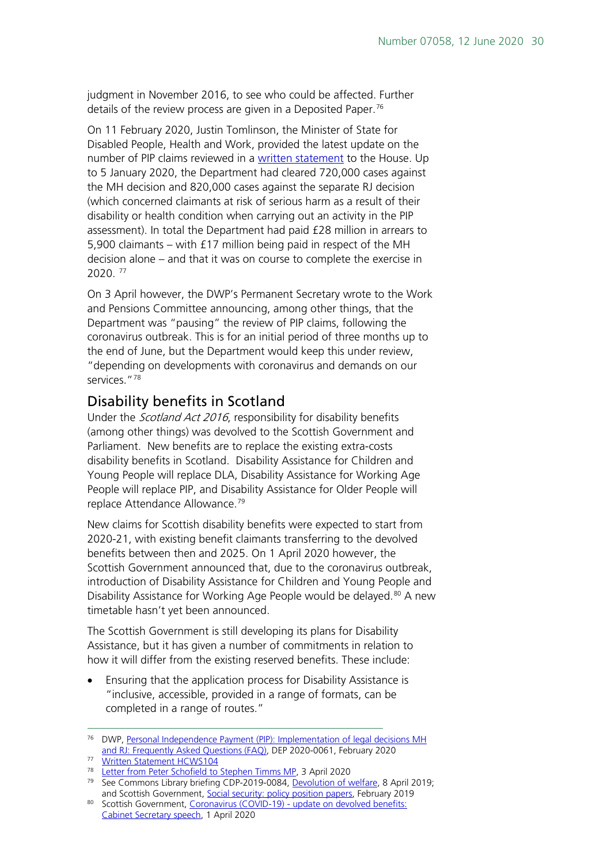judgment in November 2016, to see who could be affected. Further details of the review process are given in a Deposited Paper.<sup>[76](#page-29-1)</sup>

On 11 February 2020, Justin Tomlinson, the Minister of State for Disabled People, Health and Work, provided the latest update on the number of PIP claims reviewed in a [written statement](https://www.parliament.uk/written-questions-answers-statements/written-statement/Commons/2020-02-11/HCWS104) to the House. Up to 5 January 2020, the Department had cleared 720,000 cases against the MH decision and 820,000 cases against the separate RJ decision (which concerned claimants at risk of serious harm as a result of their disability or health condition when carrying out an activity in the PIP assessment). In total the Department had paid £28 million in arrears to 5,900 claimants – with £17 million being paid in respect of the MH decision alone – and that it was on course to complete the exercise in 2020. [77](#page-29-2)

On 3 April however, the DWP's Permanent Secretary wrote to the Work and Pensions Committee announcing, among other things, that the Department was "pausing" the review of PIP claims, following the coronavirus outbreak. This is for an initial period of three months up to the end of June, but the Department would keep this under review, "depending on developments with coronavirus and demands on our services."<sup>[78](#page-29-3)</sup>

### <span id="page-29-0"></span>Disability benefits in Scotland

Under the *Scotland Act 2016*, responsibility for disability benefits (among other things) was devolved to the Scottish Government and Parliament. New benefits are to replace the existing extra-costs disability benefits in Scotland. Disability Assistance for Children and Young People will replace DLA, Disability Assistance for Working Age People will replace PIP, and Disability Assistance for Older People will replace Attendance Allowance.<sup>[79](#page-29-4)</sup>

New claims for Scottish disability benefits were expected to start from 2020-21, with existing benefit claimants transferring to the devolved benefits between then and 2025. On 1 April 2020 however, the Scottish Government announced that, due to the coronavirus outbreak, introduction of Disability Assistance for Children and Young People and Disability Assistance for Working Age People would be delayed.<sup>[80](#page-29-5)</sup> A new timetable hasn't yet been announced.

The Scottish Government is still developing its plans for Disability Assistance, but it has given a number of commitments in relation to how it will differ from the existing reserved benefits. These include:

• Ensuring that the application process for Disability Assistance is "inclusive, accessible, provided in a range of formats, can be completed in a range of routes."

<span id="page-29-1"></span><sup>&</sup>lt;sup>76</sup> DWP, Personal Independence Payment (PIP): Implementation of legal decisions MH [and RJ: Frequently Asked Questions \(FAQ\),](http://data.parliament.uk/DepositedPapers/Files/DEP2020-0061/FAQ_-_Implementation_of_legal_decisions_MH_and_RJ.pdf) DEP 2020-0061, February 2020

<sup>77</sup> [Written Statement HCWS104](https://www.parliament.uk/written-questions-answers-statements/written-statement/Commons/2020-02-11/HCWS104)

<span id="page-29-3"></span><span id="page-29-2"></span><sup>78</sup> [Letter from Peter Schofield to Stephen Timms MP,](https://publications.parliament.uk/pa/cm5801/cmselect/cmworpen/correspondence/Letter-from-Peter-Schofield.pdf) 3 April 2020

<span id="page-29-4"></span><sup>&</sup>lt;sup>79</sup> See Commons Library briefing CDP-2019-0084, [Devolution of welfare,](https://researchbriefings.parliament.uk/ResearchBriefing/Summary/CDP-2019-0084) 8 April 2019; and Scottish Government, [Social security: policy position papers,](https://www.gov.scot/collections/social-security-policy-position-papers/) February 2019

<span id="page-29-5"></span><sup>80</sup> Scottish Government, Coronavirus (COVID-19) - update on devolved benefits: [Cabinet Secretary speech,](https://www.gov.scot/publications/statement-covid-19-update-devolved-benefits/) 1 April 2020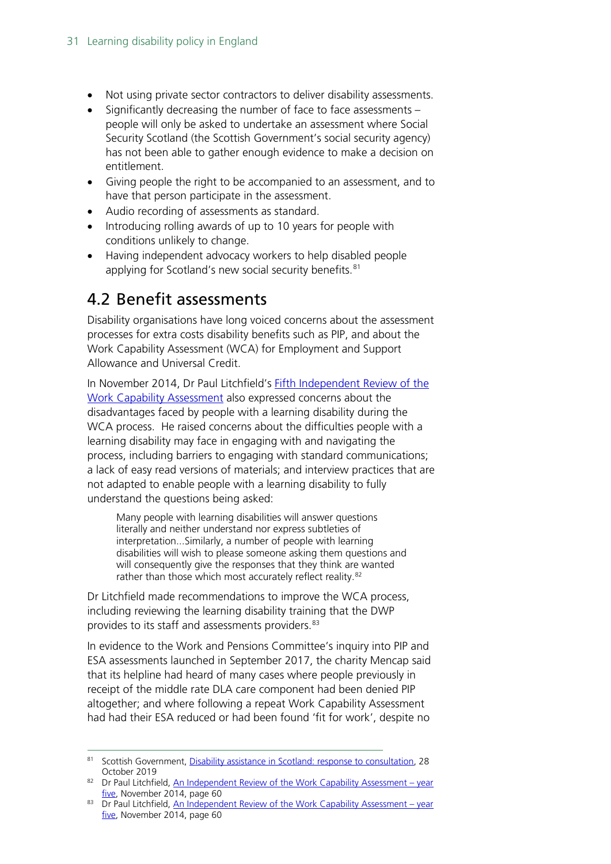- Not using private sector contractors to deliver disability assessments.
- Significantly decreasing the number of face to face assessments people will only be asked to undertake an assessment where Social Security Scotland (the Scottish Government's social security agency) has not been able to gather enough evidence to make a decision on entitlement.
- Giving people the right to be accompanied to an assessment, and to have that person participate in the assessment.
- Audio recording of assessments as standard.
- Introducing rolling awards of up to 10 years for people with conditions unlikely to change.
- Having independent advocacy workers to help disabled people applying for Scotland's new social security benefits.<sup>[81](#page-30-1)</sup>

# <span id="page-30-0"></span>4.2 Benefit assessments

Disability organisations have long voiced concerns about the assessment processes for extra costs disability benefits such as PIP, and about the Work Capability Assessment (WCA) for Employment and Support Allowance and Universal Credit.

In November 2014, Dr Paul Litchfield's [Fifth Independent Review of the](https://www.gov.uk/government/uploads/system/uploads/attachment_data/file/380027/wca-fifth-independent-review.pdf)  [Work Capability Assessment](https://www.gov.uk/government/uploads/system/uploads/attachment_data/file/380027/wca-fifth-independent-review.pdf) also expressed concerns about the disadvantages faced by people with a learning disability during the WCA process. He raised concerns about the difficulties people with a learning disability may face in engaging with and navigating the process, including barriers to engaging with standard communications; a lack of easy read versions of materials; and interview practices that are not adapted to enable people with a learning disability to fully understand the questions being asked:

Many people with learning disabilities will answer questions literally and neither understand nor express subtleties of interpretation...Similarly, a number of people with learning disabilities will wish to please someone asking them questions and will consequently give the responses that they think are wanted rather than those which most accurately reflect reality.<sup>[82](#page-30-2)</sup>

Dr Litchfield made recommendations to improve the WCA process, including reviewing the learning disability training that the DWP provides to its staff and assessments providers.<sup>[83](#page-30-3)</sup>

In evidence to the Work and Pensions Committee's inquiry into PIP and ESA assessments launched in September 2017, the charity Mencap said that its helpline had heard of many cases where people previously in receipt of the middle rate DLA care component had been denied PIP altogether; and where following a repeat Work Capability Assessment had had their ESA reduced or had been found 'fit for work', despite no

<span id="page-30-1"></span><sup>81</sup> Scottish Government[, Disability assistance in Scotland: response to consultation,](https://www.gov.scot/publications/consultation-disability-assistance-scotland-scottish-government-response/pages/2/) 28 October 2019

<span id="page-30-2"></span><sup>82</sup> Dr Paul Litchfield[, An Independent Review of the Work Capability Assessment –](https://www.gov.uk/government/uploads/system/uploads/attachment_data/file/380027/wca-fifth-independent-review.pdf) year [five,](https://www.gov.uk/government/uploads/system/uploads/attachment_data/file/380027/wca-fifth-independent-review.pdf) November 2014, page 60

<span id="page-30-3"></span> $83$  Dr Paul Litchfield[, An Independent Review of the Work Capability Assessment –](https://www.gov.uk/government/uploads/system/uploads/attachment_data/file/380027/wca-fifth-independent-review.pdf) year [five,](https://www.gov.uk/government/uploads/system/uploads/attachment_data/file/380027/wca-fifth-independent-review.pdf) November 2014, page 60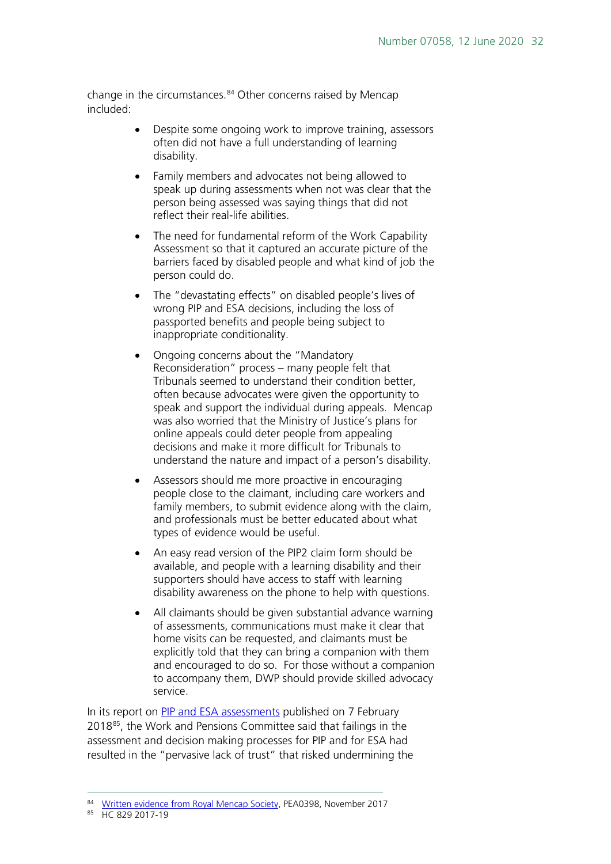change in the circumstances.<sup>[84](#page-31-0)</sup> Other concerns raised by Mencap included:

- Despite some ongoing work to improve training, assessors often did not have a full understanding of learning disability.
- Family members and advocates not being allowed to speak up during assessments when not was clear that the person being assessed was saying things that did not reflect their real-life abilities.
- The need for fundamental reform of the Work Capability Assessment so that it captured an accurate picture of the barriers faced by disabled people and what kind of job the person could do.
- The "devastating effects" on disabled people's lives of wrong PIP and ESA decisions, including the loss of passported benefits and people being subject to inappropriate conditionality.
- Ongoing concerns about the "Mandatory Reconsideration" process – many people felt that Tribunals seemed to understand their condition better, often because advocates were given the opportunity to speak and support the individual during appeals. Mencap was also worried that the Ministry of Justice's plans for online appeals could deter people from appealing decisions and make it more difficult for Tribunals to understand the nature and impact of a person's disability.
- Assessors should me more proactive in encouraging people close to the claimant, including care workers and family members, to submit evidence along with the claim, and professionals must be better educated about what types of evidence would be useful.
- An easy read version of the PIP2 claim form should be available, and people with a learning disability and their supporters should have access to staff with learning disability awareness on the phone to help with questions.
- All claimants should be given substantial advance warning of assessments, communications must make it clear that home visits can be requested, and claimants must be explicitly told that they can bring a companion with them and encouraged to do so. For those without a companion to accompany them, DWP should provide skilled advocacy service.

In its report on [PIP and ESA assessments](https://www.parliament.uk/business/committees/committees-a-z/commons-select/work-and-pensions-committee/inquiries/parliament-2017/pip-esa-assessments-17-19/) published on 7 February 2018<sup>[85](#page-31-1)</sup>, the Work and Pensions Committee said that failings in the assessment and decision making processes for PIP and for ESA had resulted in the "pervasive lack of trust" that risked undermining the

<span id="page-31-0"></span><sup>84</sup> [Written evidence from Royal Mencap Society,](http://data.parliament.uk/writtenevidence/committeeevidence.svc/evidencedocument/work-and-pensions-committee/pip-and-esa-assessments/written/73606.html) PEA0398, November 2017

<span id="page-31-1"></span><sup>85</sup> HC 829 2017-19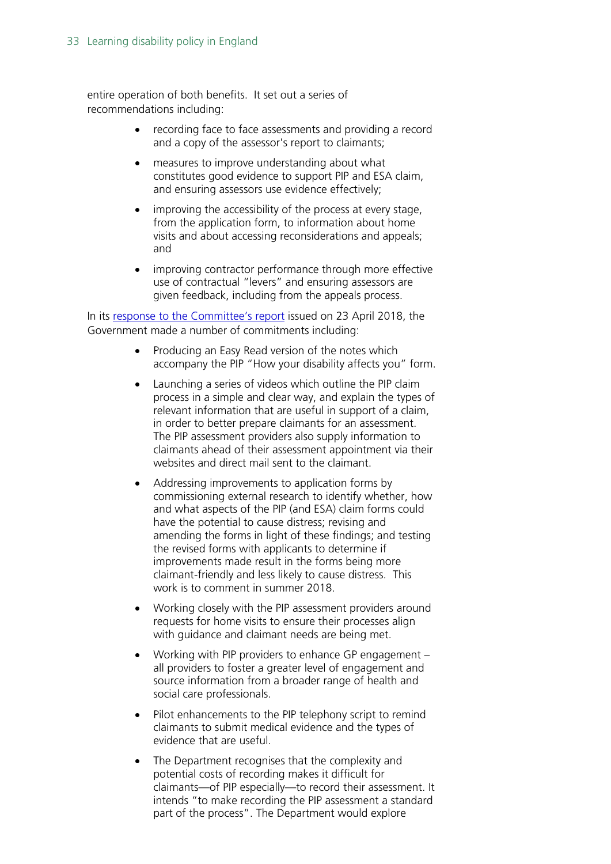entire operation of both benefits. It set out a series of recommendations including:

- recording face to face assessments and providing a record and a copy of the assessor's report to claimants;
- measures to improve understanding about what constitutes good evidence to support PIP and ESA claim, and ensuring assessors use evidence effectively;
- improving the accessibility of the process at every stage. from the application form, to information about home visits and about accessing reconsiderations and appeals; and
- improving contractor performance through more effective use of contractual "levers" and ensuring assessors are given feedback, including from the appeals process.

In its [response to the Committee's report](https://publications.parliament.uk/pa/cm201719/cmselect/cmworpen/986/98602.htm) issued on 23 April 2018, the Government made a number of commitments including:

- Producing an Easy Read version of the notes which accompany the PIP "How your disability affects you" form.
- Launching a series of videos which outline the PIP claim process in a simple and clear way, and explain the types of relevant information that are useful in support of a claim, in order to better prepare claimants for an assessment. The PIP assessment providers also supply information to claimants ahead of their assessment appointment via their websites and direct mail sent to the claimant.
- Addressing improvements to application forms by commissioning external research to identify whether, how and what aspects of the PIP (and ESA) claim forms could have the potential to cause distress; revising and amending the forms in light of these findings; and testing the revised forms with applicants to determine if improvements made result in the forms being more claimant-friendly and less likely to cause distress. This work is to comment in summer 2018.
- Working closely with the PIP assessment providers around requests for home visits to ensure their processes align with guidance and claimant needs are being met.
- Working with PIP providers to enhance GP engagement all providers to foster a greater level of engagement and source information from a broader range of health and social care professionals.
- Pilot enhancements to the PIP telephony script to remind claimants to submit medical evidence and the types of evidence that are useful.
- The Department recognises that the complexity and potential costs of recording makes it difficult for claimants—of PIP especially—to record their assessment. It intends "to make recording the PIP assessment a standard part of the process". The Department would explore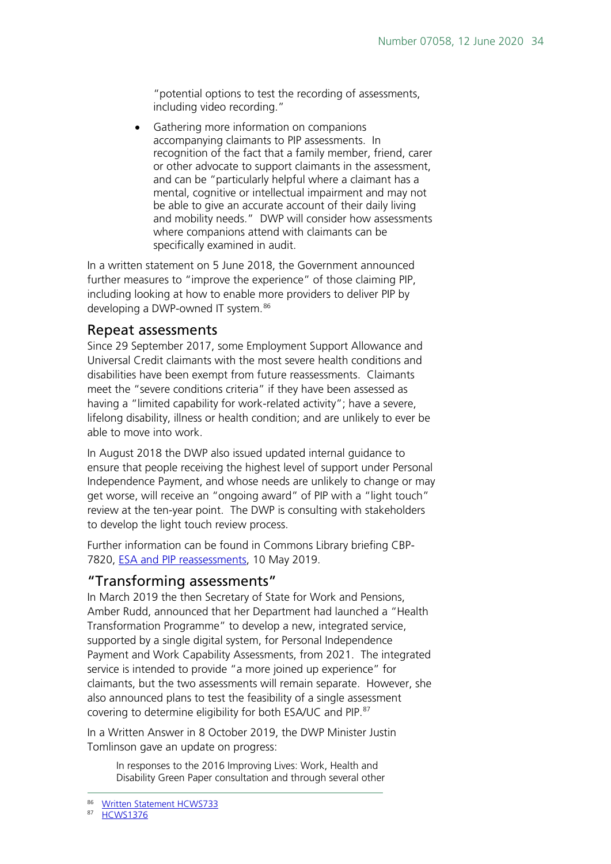"potential options to test the recording of assessments, including video recording."

• Gathering more information on companions accompanying claimants to PIP assessments. In recognition of the fact that a family member, friend, carer or other advocate to support claimants in the assessment, and can be "particularly helpful where a claimant has a mental, cognitive or intellectual impairment and may not be able to give an accurate account of their daily living and mobility needs." DWP will consider how assessments where companions attend with claimants can be specifically examined in audit.

In a written statement on 5 June 2018, the Government announced further measures to "improve the experience" of those claiming PIP, including looking at how to enable more providers to deliver PIP by developing a DWP-owned IT system. [86](#page-33-2)

#### <span id="page-33-0"></span>Repeat assessments

Since 29 September 2017, some Employment Support Allowance and Universal Credit claimants with the most severe health conditions and disabilities have been exempt from future reassessments. Claimants meet the "severe conditions criteria" if they have been assessed as having a "limited capability for work-related activity"; have a severe, lifelong disability, illness or health condition; and are unlikely to ever be able to move into work.

In August 2018 the DWP also issued updated internal guidance to ensure that people receiving the highest level of support under Personal Independence Payment, and whose needs are unlikely to change or may get worse, will receive an "ongoing award" of PIP with a "light touch" review at the ten-year point. The DWP is consulting with stakeholders to develop the light touch review process.

Further information can be found in Commons Library briefing CBP-7820, [ESA and PIP reassessments,](https://researchbriefings.parliament.uk/ResearchBriefing/Summary/CBP-7820) 10 May 2019.

#### <span id="page-33-1"></span>"Transforming assessments"

In March 2019 the then Secretary of State for Work and Pensions, Amber Rudd, announced that her Department had launched a "Health Transformation Programme" to develop a new, integrated service, supported by a single digital system, for Personal Independence Payment and Work Capability Assessments, from 2021. The integrated service is intended to provide "a more joined up experience" for claimants, but the two assessments will remain separate. However, she also announced plans to test the feasibility of a single assessment covering to determine eligibility for both ESA/UC and PIP.[87](#page-33-3)

<span id="page-33-3"></span><span id="page-33-2"></span>In a Written Answer in 8 October 2019, the DWP Minister Justin Tomlinson gave an update on progress:

In responses to the 2016 Improving Lives: Work, Health and Disability Green Paper consultation and through several other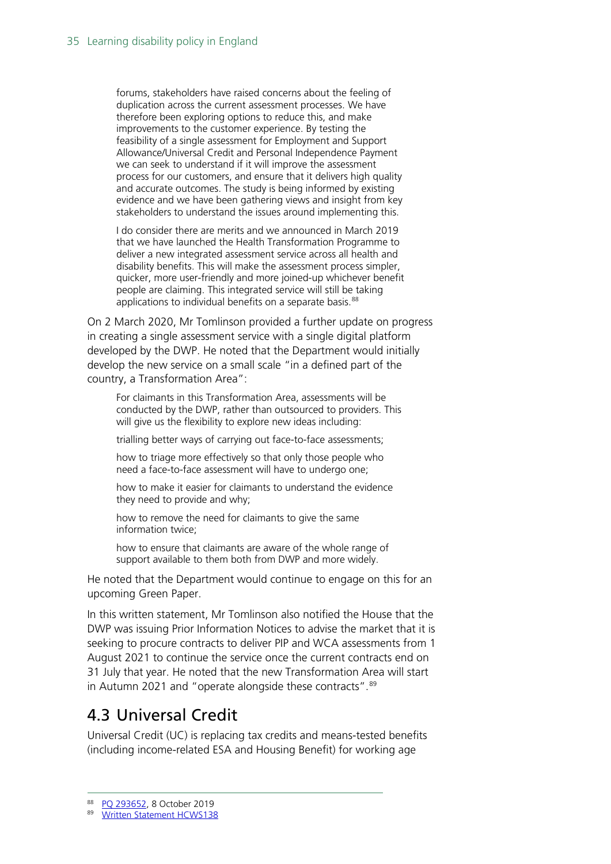forums, stakeholders have raised concerns about the feeling of duplication across the current assessment processes. We have therefore been exploring options to reduce this, and make improvements to the customer experience. By testing the feasibility of a single assessment for Employment and Support Allowance/Universal Credit and Personal Independence Payment we can seek to understand if it will improve the assessment process for our customers, and ensure that it delivers high quality and accurate outcomes. The study is being informed by existing evidence and we have been gathering views and insight from key stakeholders to understand the issues around implementing this.

I do consider there are merits and we announced in March 2019 that we have launched the Health Transformation Programme to deliver a new integrated assessment service across all health and disability benefits. This will make the assessment process simpler, quicker, more user-friendly and more joined-up whichever benefit people are claiming. This integrated service will still be taking applications to individual benefits on a separate basis.<sup>[88](#page-34-1)</sup>

On 2 March 2020, Mr Tomlinson provided a further update on progress in creating a single assessment service with a single digital platform developed by the DWP. He noted that the Department would initially develop the new service on a small scale "in a defined part of the country, a Transformation Area":

For claimants in this Transformation Area, assessments will be conducted by the DWP, rather than outsourced to providers. This will give us the flexibility to explore new ideas including:

trialling better ways of carrying out face-to-face assessments;

how to triage more effectively so that only those people who need a face-to-face assessment will have to undergo one;

how to make it easier for claimants to understand the evidence they need to provide and why;

how to remove the need for claimants to give the same information twice;

how to ensure that claimants are aware of the whole range of support available to them both from DWP and more widely.

He noted that the Department would continue to engage on this for an upcoming Green Paper.

In this written statement, Mr Tomlinson also notified the House that the DWP was issuing Prior Information Notices to advise the market that it is seeking to procure contracts to deliver PIP and WCA assessments from 1 August 2021 to continue the service once the current contracts end on 31 July that year. He noted that the new Transformation Area will start in Autumn 2021 and "operate alongside these contracts".<sup>[89](#page-34-2)</sup>

# <span id="page-34-0"></span>4.3 Universal Credit

Universal Credit (UC) is replacing tax credits and means-tested benefits (including income-related ESA and Housing Benefit) for working age

<span id="page-34-1"></span><sup>88</sup> [PQ 293652,](https://www.parliament.uk/written-questions-answers-statements/written-question/commons/2019-10-02/293652) 8 October 2019

<span id="page-34-2"></span><sup>89</sup> [Written Statement HCWS138](https://www.parliament.uk/written-questions-answers-statements/written-statement/Commons/2020-03-02/HCWS138)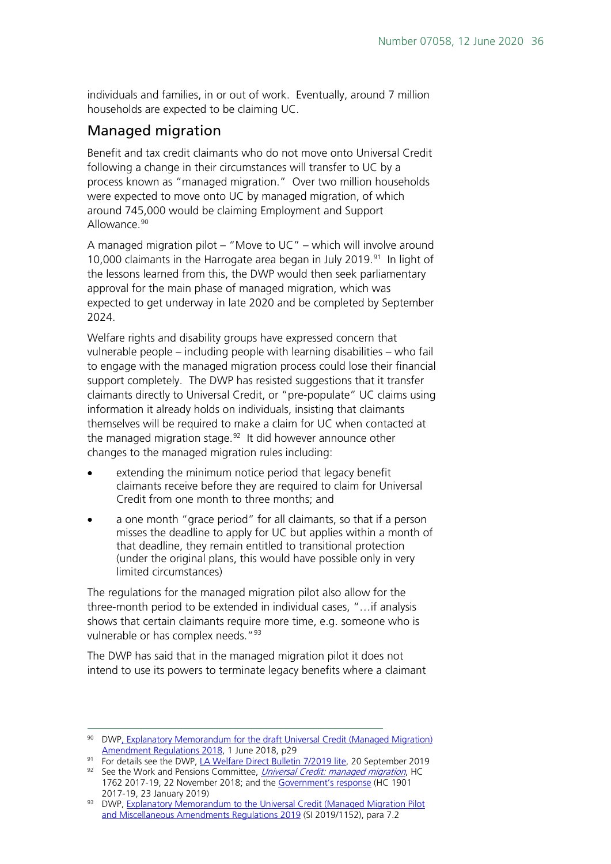individuals and families, in or out of work. Eventually, around 7 million households are expected to be claiming UC.

#### Managed migration

Benefit and tax credit claimants who do not move onto Universal Credit following a change in their circumstances will transfer to UC by a process known as "managed migration." Over two million households were expected to move onto UC by managed migration, of which around 745,000 would be claiming Employment and Support Allowance.<sup>[90](#page-35-0)</sup>

A managed migration pilot – "Move to UC" – which will involve around 10,000 claimants in the Harrogate area began in July 2019.<sup>[91](#page-35-1)</sup> In light of the lessons learned from this, the DWP would then seek parliamentary approval for the main phase of managed migration, which was expected to get underway in late 2020 and be completed by September 2024.

Welfare rights and disability groups have expressed concern that vulnerable people – including people with learning disabilities – who fail to engage with the managed migration process could lose their financial support completely. The DWP has resisted suggestions that it transfer claimants directly to Universal Credit, or "pre-populate" UC claims using information it already holds on individuals, insisting that claimants themselves will be required to make a claim for UC when contacted at the managed migration stage.<sup>92</sup> It did however announce other changes to the managed migration rules including:

- extending the minimum notice period that legacy benefit claimants receive before they are required to claim for Universal Credit from one month to three months; and
- a one month "grace period" for all claimants, so that if a person misses the deadline to apply for UC but applies within a month of that deadline, they remain entitled to transitional protection (under the original plans, this would have possible only in very limited circumstances)

The regulations for the managed migration pilot also allow for the three-month period to be extended in individual cases, "…if analysis shows that certain claimants require more time, e.g. someone who is vulnerable or has complex needs."<sup>[93](#page-35-3)</sup>

The DWP has said that in the managed migration pilot it does not intend to use its powers to terminate legacy benefits where a claimant

<span id="page-35-0"></span><sup>90</sup> DW[P, Explanatory Memorandum for the draft Universal Credit \(Managed Migration\)](https://assets.publishing.service.gov.uk/government/uploads/system/uploads/attachment_data/file/718580/uc-transitional-regs-2018-explanatory-memorandum.pdf)  [Amendment Regulations 2018,](https://assets.publishing.service.gov.uk/government/uploads/system/uploads/attachment_data/file/718580/uc-transitional-regs-2018-explanatory-memorandum.pdf) 1 June 2018, p29

<sup>&</sup>lt;sup>91</sup> For details see the DWP, [LA Welfare Direct Bulletin 7/2019 lite,](https://www.gov.uk/government/publications/la-welfare-direct-bulletins-2019/la-welfare-direct-bulletin-72019-lite#new-dwp-uc-regulations-announced) 20 September 2019

<span id="page-35-2"></span><span id="page-35-1"></span><sup>92</sup> See the Work and Pensions Committee, *[Universal Credit: managed migration](https://www.parliament.uk/business/committees/committees-a-z/commons-select/work-and-pensions-committee/inquiries/parliament-2017/universal-credit-managed-migration-17-19/publications/)*, HC 1762 2017-19, 22 November 2018; and the [Government's response](https://www.parliament.uk/business/committees/committees-a-z/commons-select/work-and-pensions-committee/inquiries/parliament-2017/universal-credit-managed-migration-17-19/publications/) (HC 1901 2017-19, 23 January 2019)

<span id="page-35-3"></span><sup>93</sup> DWP, Explanatory Memorandum to the Universal Credit (Managed Migration Pilot [and Miscellaneous Amendments Regulations 2019](http://www.legislation.gov.uk/uksi/2019/1152/pdfs/uksiem_20191152_en.pdf) (SI 2019/1152), para 7.2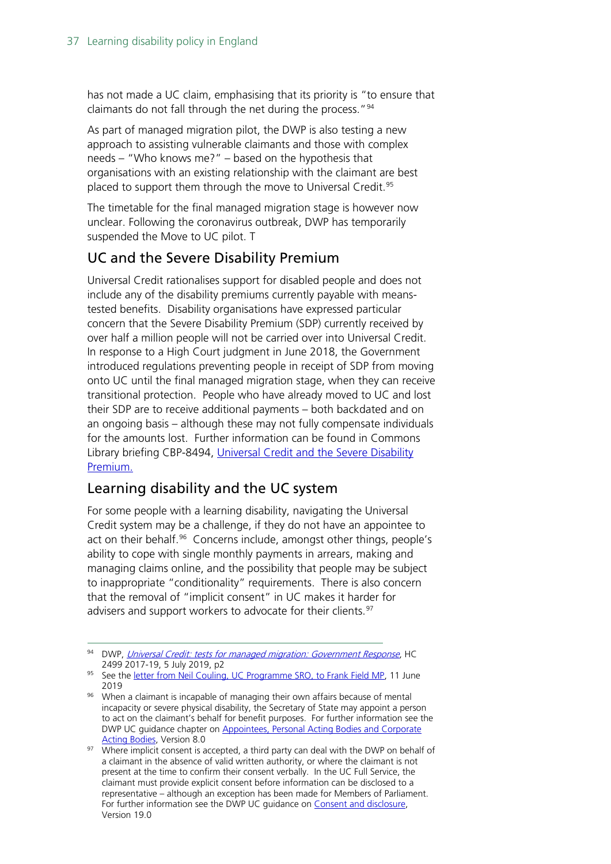has not made a UC claim, emphasising that its priority is "to ensure that claimants do not fall through the net during the process."<sup>[94](#page-36-0)</sup>

As part of managed migration pilot, the DWP is also testing a new approach to assisting vulnerable claimants and those with complex needs – "Who knows me?" – based on the hypothesis that organisations with an existing relationship with the claimant are best placed to support them through the move to Universal Credit.<sup>[95](#page-36-1)</sup>

The timetable for the final managed migration stage is however now unclear. Following the coronavirus outbreak, DWP has temporarily suspended the Move to UC pilot. T

## UC and the Severe Disability Premium

Universal Credit rationalises support for disabled people and does not include any of the disability premiums currently payable with meanstested benefits. Disability organisations have expressed particular concern that the Severe Disability Premium (SDP) currently received by over half a million people will not be carried over into Universal Credit. In response to a High Court judgment in June 2018, the Government introduced regulations preventing people in receipt of SDP from moving onto UC until the final managed migration stage, when they can receive transitional protection. People who have already moved to UC and lost their SDP are to receive additional payments – both backdated and on an ongoing basis – although these may not fully compensate individuals for the amounts lost. Further information can be found in Commons Library briefing CBP-8494, Universal Credit and the Severe Disability [Premium.](https://researchbriefings.parliament.uk/ResearchBriefing/Summary/CBP-8494)

### Learning disability and the UC system

For some people with a learning disability, navigating the Universal Credit system may be a challenge, if they do not have an appointee to act on their behalf.<sup>96</sup> Concerns include, amongst other things, people's ability to cope with single monthly payments in arrears, making and managing claims online, and the possibility that people may be subject to inappropriate "conditionality" requirements. There is also concern that the removal of "implicit consent" in UC makes it harder for advisers and support workers to advocate for their clients.<sup>[97](#page-36-3)</sup>

<span id="page-36-0"></span><sup>94</sup> DWP, [Universal Credit: tests for managed migration: Government Response](https://publications.parliament.uk/pa/cm201719/cmselect/cmworpen/2499/2499.pdf), HC 2499 2017-19, 5 July 2019, p2

<span id="page-36-1"></span><sup>95</sup> See the [letter from Neil Couling, UC Programme SRO, to Frank Field MP,](https://publications.parliament.uk/pa/cm201719/cmselect/cmworpen/Correspondence/190611-Neil-Couling-to-Chair-Universal-Credit-SRO-move-to-UC-pilot.pdf) 11 June 2019

<span id="page-36-2"></span><sup>96</sup> When a claimant is incapable of managing their own affairs because of mental incapacity or severe physical disability, the Secretary of State may appoint a person to act on the claimant's behalf for benefit purposes. For further information see the DWP UC guidance chapter on [Appointees, Personal Acting Bodies and Corporate](http://data.parliament.uk/DepositedPapers/Files/DEP2019-0980/11._Appointees_Personal_Acting_Bodies_and_Corporate_v8.0.pdf)  [Acting Bodies,](http://data.parliament.uk/DepositedPapers/Files/DEP2019-0980/11._Appointees_Personal_Acting_Bodies_and_Corporate_v8.0.pdf) Version 8.0

<span id="page-36-3"></span><sup>97</sup> Where implicit consent is accepted, a third party can deal with the DWP on behalf of a claimant in the absence of valid written authority, or where the claimant is not present at the time to confirm their consent verbally. In the UC Full Service, the claimant must provide explicit consent before information can be disclosed to a representative – although an exception has been made for Members of Parliament. For further information see the DWP UC quidance on Consent and disclosure. Version 19.0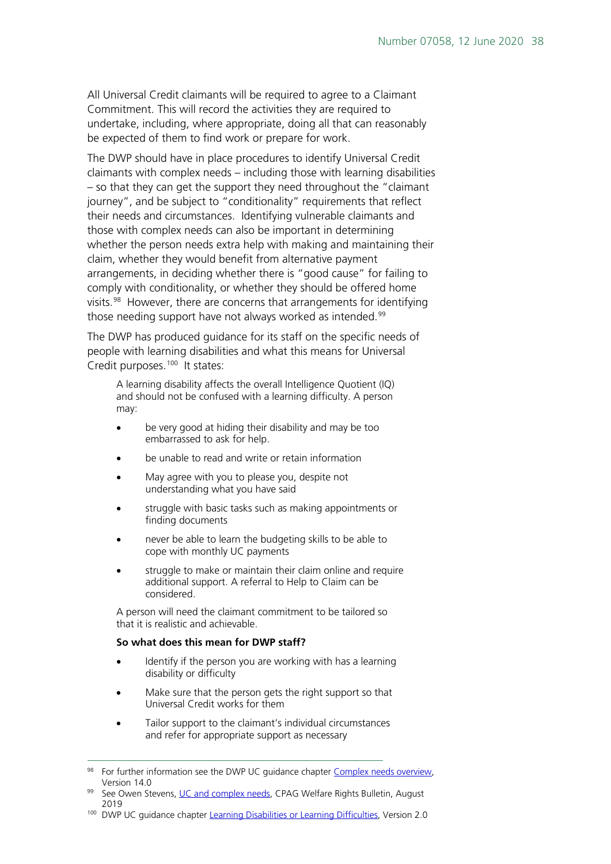All Universal Credit claimants will be required to agree to a Claimant Commitment. This will record the activities they are required to undertake, including, where appropriate, doing all that can reasonably be expected of them to find work or prepare for work.

The DWP should have in place procedures to identify Universal Credit claimants with complex needs – including those with learning disabilities – so that they can get the support they need throughout the "claimant journey", and be subject to "conditionality" requirements that reflect their needs and circumstances. Identifying vulnerable claimants and those with complex needs can also be important in determining whether the person needs extra help with making and maintaining their claim, whether they would benefit from alternative payment arrangements, in deciding whether there is "good cause" for failing to comply with conditionality, or whether they should be offered home visits. [98](#page-37-0) However, there are concerns that arrangements for identifying those needing support have not always worked as intended.<sup>[99](#page-37-1)</sup>

The DWP has produced guidance for its staff on the specific needs of people with learning disabilities and what this means for Universal Credit purposes.<sup>[100](#page-37-2)</sup> It states:

A learning disability affects the overall Intelligence Quotient (IQ) and should not be confused with a learning difficulty. A person may:

- be very good at hiding their disability and may be too embarrassed to ask for help.
- be unable to read and write or retain information
- May agree with you to please you, despite not understanding what you have said
- struggle with basic tasks such as making appointments or finding documents
- never be able to learn the budgeting skills to be able to cope with monthly UC payments
- struggle to make or maintain their claim online and require additional support. A referral to Help to Claim can be considered.

A person will need the claimant commitment to be tailored so that it is realistic and achievable.

#### **So what does this mean for DWP staff?**

- Identify if the person you are working with has a learning disability or difficulty
- Make sure that the person gets the right support so that Universal Credit works for them
- Tailor support to the claimant's individual circumstances and refer for appropriate support as necessary

<span id="page-37-0"></span><sup>98</sup> For further information see the DWP UC quidance chapter [Complex needs overview,](http://data.parliament.uk/DepositedPapers/Files/DEP2019-0980/32._Complex_needs_overview_v14.0.pdf) Version 14.0

<span id="page-37-1"></span>See Owen Stevens, [UC and complex needs,](https://cpag.org.uk/welfare-rights/resources/article/uc-and-complex-needs) CPAG Welfare Rights Bulletin, August 2019

<span id="page-37-2"></span><sup>&</sup>lt;sup>100</sup> DWP UC quidance chapter [Learning Disabilities or Learning Difficulties,](http://data.parliament.uk/DepositedPapers/Files/DEP2019-0980/73._Learning_Disabilities_and_Learning_Difficulties_v2.0.pdf) Version 2.0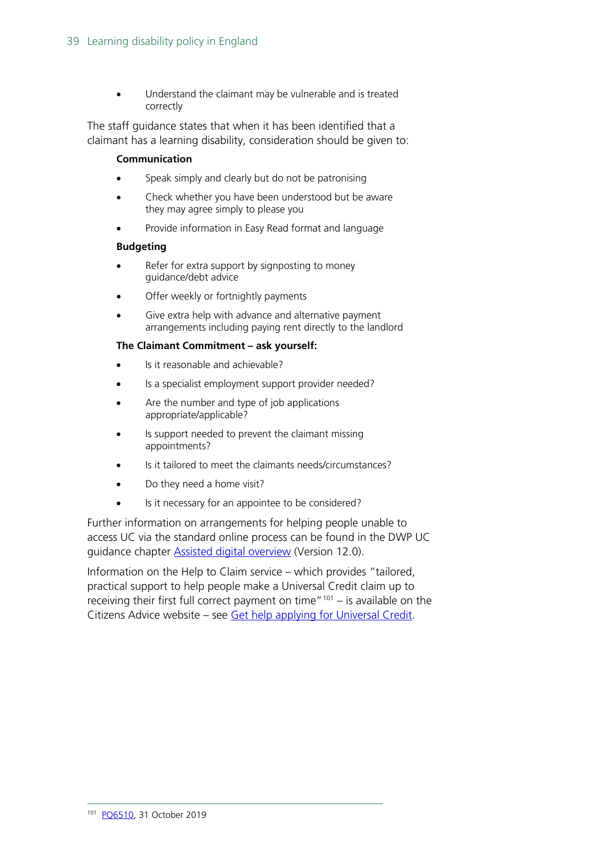Understand the claimant may be vulnerable and is treated correctly

The staff guidance states that when it has been identified that a claimant has a learning disability, consideration should be given to:

#### **Communication**

- Speak simply and clearly but do not be patronising
- Check whether you have been understood but be aware they may agree simply to please you
- Provide information in Easy Read format and language

#### **Budgeting**

- Refer for extra support by signposting to money guidance/debt advice
- Offer weekly or fortnightly payments
- Give extra help with advance and alternative payment arrangements including paying rent directly to the landlord

#### **The Claimant Commitment – ask yourself:**

- Is it reasonable and achievable?
- Is a specialist employment support provider needed?
- Are the number and type of job applications appropriate/applicable?
- Is support needed to prevent the claimant missing appointments?
- Is it tailored to meet the claimants needs/circumstances?
- Do they need a home visit?
- Is it necessary for an appointee to be considered?

Further information on arrangements for helping people unable to access UC via the standard online process can be found in the DWP UC guidance chapter [Assisted digital overview](http://data.parliament.uk/DepositedPapers/Files/DEP2019-0980/13._Assisted_Digital_overview_v12.0.pdf) (Version 12.0).

<span id="page-38-0"></span>Information on the Help to Claim service – which provides "tailored, practical support to help people make a Universal Credit claim up to receiving their first full correct payment on time"<sup>[101](#page-38-0)</sup> – is available on the Citizens Advice website – see [Get help applying for Universal Credit.](https://www.citizensadvice.org.uk/about-us/contact-us/contact-us/help-to-claim/)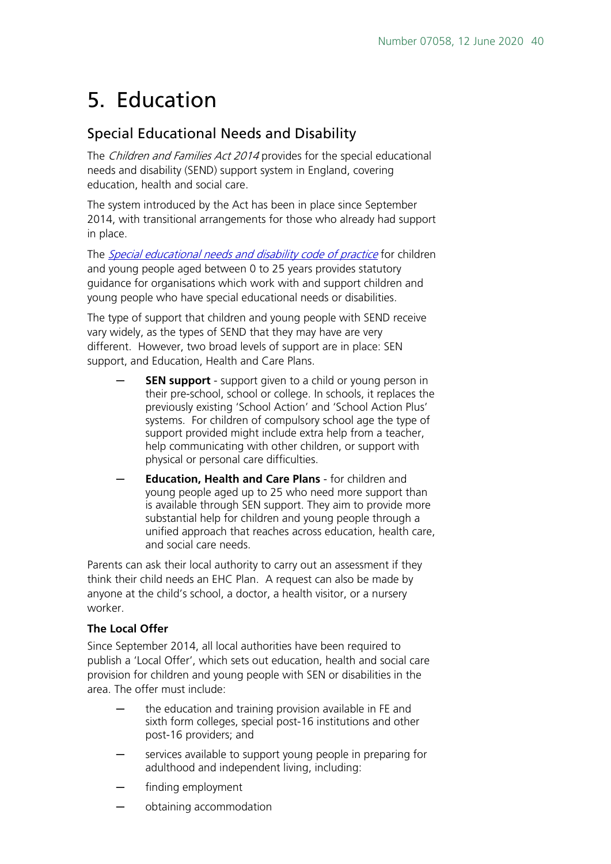# <span id="page-39-0"></span>5. Education

### Special Educational Needs and Disability

The *Children and Families Act 2014* provides for the special educational needs and disability (SEND) support system in England, covering education, health and social care.

The system introduced by the Act has been in place since September 2014, with transitional arrangements for those who already had support in place.

The *[Special educational needs and disability code of practice](https://www.gov.uk/government/publications/send-code-of-practice-0-to-25)* for children and young people aged between 0 to 25 years provides statutory guidance for organisations which work with and support children and young people who have special educational needs or disabilities.

The type of support that children and young people with SEND receive vary widely, as the types of SEND that they may have are very different. However, two broad levels of support are in place: SEN support, and Education, Health and Care Plans.

- **SEN support** support given to a child or young person in their pre-school, school or college. In schools, it replaces the previously existing 'School Action' and 'School Action Plus' systems. For children of compulsory school age the type of support provided might include extra help from a teacher, help communicating with other children, or support with physical or personal care difficulties.
- ─ **Education, Health and Care Plans** for children and young people aged up to 25 who need more support than is available through SEN support. They aim to provide more substantial help for children and young people through a unified approach that reaches across education, health care, and social care needs.

Parents can ask their local authority to carry out an assessment if they think their child needs an EHC Plan. A request can also be made by anyone at the child's school, a doctor, a health visitor, or a nursery worker.

#### **The Local Offer**

Since September 2014, all local authorities have been required to publish a 'Local Offer', which sets out education, health and social care provision for children and young people with SEN or disabilities in the area. The offer must include:

- ─ the education and training provision available in FE and sixth form colleges, special post-16 institutions and other post-16 providers; and
- services available to support young people in preparing for adulthood and independent living, including:
- finding employment
- ─ obtaining accommodation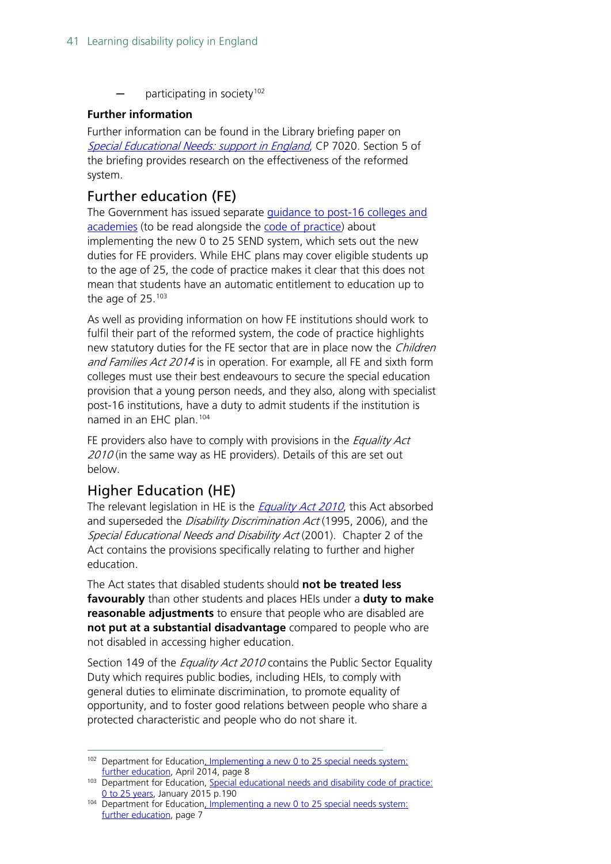participating in society<sup>[102](#page-40-2)</sup>

#### **Further information**

Further information can be found in the Library briefing paper on [Special Educational Needs: support in England](https://researchbriefings.parliament.uk/ResearchBriefing/Summary/SN07020), CP 7020. Section 5 of the briefing provides research on the effectiveness of the reformed system.

### <span id="page-40-0"></span>Further education (FE)

The Government has issued separate [guidance to post-16 colleges and](https://assets.publishing.service.gov.uk/government/uploads/system/uploads/attachment_data/file/348883/Further_education__guide_to_the_0_to_25_SEND_code_of_practice.pdf)  [academies](https://assets.publishing.service.gov.uk/government/uploads/system/uploads/attachment_data/file/348883/Further_education__guide_to_the_0_to_25_SEND_code_of_practice.pdf) (to be read alongside the [code of practice\)](https://assets.publishing.service.gov.uk/government/uploads/system/uploads/attachment_data/file/398815/SEND_Code_of_Practice_January_2015.pdf) about implementing the new 0 to 25 SEND system, which sets out the new duties for FE providers. While EHC plans may cover eligible students up to the age of 25, the code of practice makes it clear that this does not mean that students have an automatic entitlement to education up to the age of 25.[103](#page-40-3)

As well as providing information on how FE institutions should work to fulfil their part of the reformed system, the code of practice highlights new statutory duties for the FE sector that are in place now the *Children* and Families Act 2014 is in operation. For example, all FE and sixth form colleges must use their best endeavours to secure the special education provision that a young person needs, and they also, along with specialist post-16 institutions, have a duty to admit students if the institution is named in an EHC plan.[104](#page-40-4)

FE providers also have to comply with provisions in the *Equality Act*  $2010$  (in the same way as HE providers). Details of this are set out below.

## <span id="page-40-1"></span>Higher Education (HE)

The relevant legislation in HE is the *[Equality Act 2010](http://www.legislation.gov.uk/ukpga/2010/15/contents)*, this Act absorbed and superseded the Disability Discrimination Act (1995, 2006), and the Special Educational Needs and Disability Act (2001). Chapter 2 of the Act contains the provisions specifically relating to further and higher education.

The Act states that disabled students should **not be treated less favourably** than other students and places HEIs under a **duty to make reasonable adjustments** to ensure that people who are disabled are **not put at a substantial disadvantage** compared to people who are not disabled in accessing higher education.

Section 149 of the *Equality Act 2010* contains the Public Sector Equality Duty which requires public bodies, including HEIs, to comply with general duties to eliminate discrimination, to promote equality of opportunity, and to foster good relations between people who share a protected characteristic and people who do not share it.

<span id="page-40-2"></span><sup>&</sup>lt;sup>102</sup> Department for Education, Implementing a new 0 to 25 special needs system: [further education,](https://www.gov.uk/government/uploads/system/uploads/attachment_data/file/307555/04-14_FE_Implementation_Pack.pdf) April 2014, page 8

<span id="page-40-3"></span><sup>103</sup> Department for Education, Special educational needs and disability code of practice: [0 to 25 years,](https://www.gov.uk/government/uploads/system/uploads/attachment_data/file/342440/SEND_Code_of_Practice_approved_by_Parliament_29.07.14.pdf) January 2015 p.190

<span id="page-40-4"></span><sup>104</sup> Department for Educatio[n, Implementing a new 0 to 25 special needs system:](https://www.gov.uk/government/uploads/system/uploads/attachment_data/file/307555/04-14_FE_Implementation_Pack.pdf)  [further education,](https://www.gov.uk/government/uploads/system/uploads/attachment_data/file/307555/04-14_FE_Implementation_Pack.pdf) page 7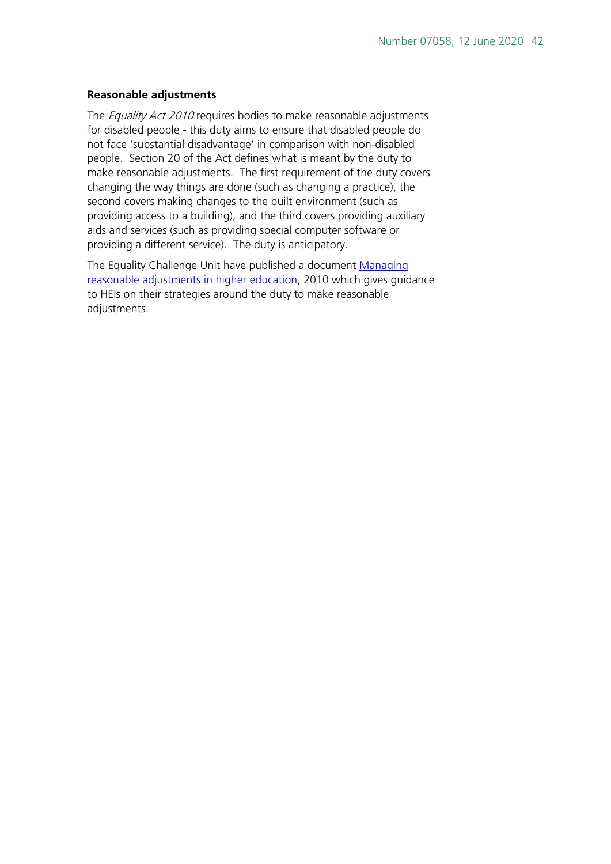#### **Reasonable adjustments**

The *Equality Act 2010* requires bodies to make reasonable adjustments for disabled people - this duty aims to ensure that disabled people do not face 'substantial disadvantage' in comparison with non-disabled people. Section 20 of the Act defines what is meant by the duty to make reasonable adjustments. The first requirement of the duty covers changing the way things are done (such as changing a practice), the second covers making changes to the built environment (such as providing access to a building), and the third covers providing auxiliary aids and services (such as providing special computer software or providing a different service). The duty is anticipatory.

The Equality Challenge Unit have published a document [Managing](http://www.ecu.ac.uk/wp-content/uploads/external/managing-reasonable-adjustments-in-higher-education.pdf)  [reasonable adjustments in higher education,](http://www.ecu.ac.uk/wp-content/uploads/external/managing-reasonable-adjustments-in-higher-education.pdf) 2010 which gives guidance to HEIs on their strategies around the duty to make reasonable adjustments.